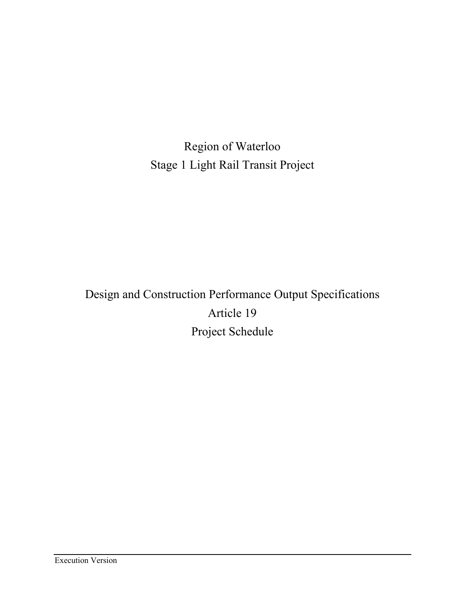Region of Waterloo Stage 1 Light Rail Transit Project

Design and Construction Performance Output Specifications Article 19 Project Schedule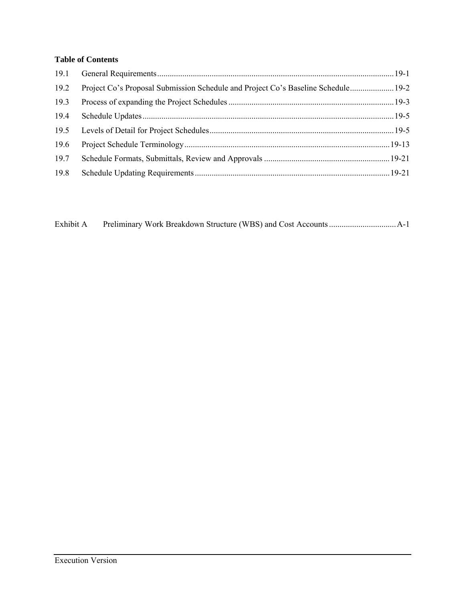# **Table of Contents**

| 19.2 | Project Co's Proposal Submission Schedule and Project Co's Baseline Schedule 19-2 |  |
|------|-----------------------------------------------------------------------------------|--|
| 19.3 |                                                                                   |  |
| 19.4 |                                                                                   |  |
| 19.5 |                                                                                   |  |
| 19.6 |                                                                                   |  |
| 19.7 |                                                                                   |  |
| 19.8 |                                                                                   |  |

| Exhibit A |  |  |  |
|-----------|--|--|--|
|           |  |  |  |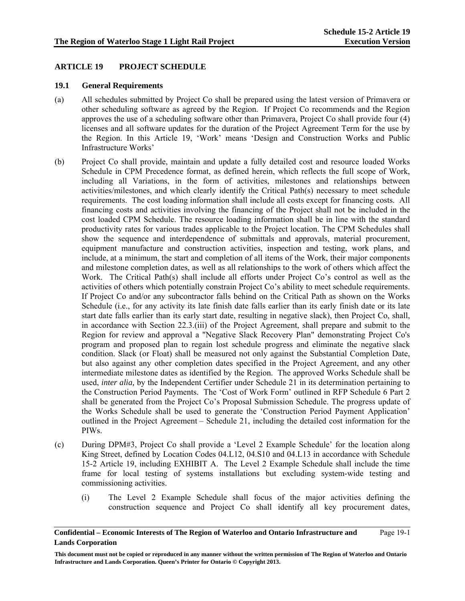# **ARTICLE 19 PROJECT SCHEDULE**

### **19.1 General Requirements**

- (a) All schedules submitted by Project Co shall be prepared using the latest version of Primavera or other scheduling software as agreed by the Region. If Project Co recommends and the Region approves the use of a scheduling software other than Primavera, Project Co shall provide four (4) licenses and all software updates for the duration of the Project Agreement Term for the use by the Region. In this Article 19, 'Work' means 'Design and Construction Works and Public Infrastructure Works'
- (b) Project Co shall provide, maintain and update a fully detailed cost and resource loaded Works Schedule in CPM Precedence format, as defined herein, which reflects the full scope of Work, including all Variations, in the form of activities, milestones and relationships between activities/milestones, and which clearly identify the Critical Path(s) necessary to meet schedule requirements. The cost loading information shall include all costs except for financing costs. All financing costs and activities involving the financing of the Project shall not be included in the cost loaded CPM Schedule. The resource loading information shall be in line with the standard productivity rates for various trades applicable to the Project location. The CPM Schedules shall show the sequence and interdependence of submittals and approvals, material procurement, equipment manufacture and construction activities, inspection and testing, work plans, and include, at a minimum, the start and completion of all items of the Work, their major components and milestone completion dates, as well as all relationships to the work of others which affect the Work. The Critical Path(s) shall include all efforts under Project Co's control as well as the activities of others which potentially constrain Project Co's ability to meet schedule requirements. If Project Co and/or any subcontractor falls behind on the Critical Path as shown on the Works Schedule (i.e., for any activity its late finish date falls earlier than its early finish date or its late start date falls earlier than its early start date, resulting in negative slack), then Project Co, shall, in accordance with Section 22.3.(iii) of the Project Agreement, shall prepare and submit to the Region for review and approval a "Negative Slack Recovery Plan" demonstrating Project Co's program and proposed plan to regain lost schedule progress and eliminate the negative slack condition. Slack (or Float) shall be measured not only against the Substantial Completion Date, but also against any other completion dates specified in the Project Agreement, and any other intermediate milestone dates as identified by the Region. The approved Works Schedule shall be used, *inter alia,* by the Independent Certifier under Schedule 21 in its determination pertaining to the Construction Period Payments. The 'Cost of Work Form' outlined in RFP Schedule 6 Part 2 shall be generated from the Project Co's Proposal Submission Schedule. The progress update of the Works Schedule shall be used to generate the 'Construction Period Payment Application' outlined in the Project Agreement – Schedule 21, including the detailed cost information for the PIWs.
- (c) During DPM#3, Project Co shall provide a 'Level 2 Example Schedule' for the location along King Street, defined by Location Codes 04.L12, 04.S10 and 04.L13 in accordance with Schedule 15-2 Article 19, including EXHIBIT A. The Level 2 Example Schedule shall include the time frame for local testing of systems installations but excluding system-wide testing and commissioning activities.
	- (i) The Level 2 Example Schedule shall focus of the major activities defining the construction sequence and Project Co shall identify all key procurement dates,

**Confidential – Economic Interests of The Region of Waterloo and Ontario Infrastructure and Lands Corporation**  Page 19-1

**This document must not be copied or reproduced in any manner without the written permission of The Region of Waterloo and Ontario Infrastructure and Lands Corporation. Queen's Printer for Ontario © Copyright 2013.**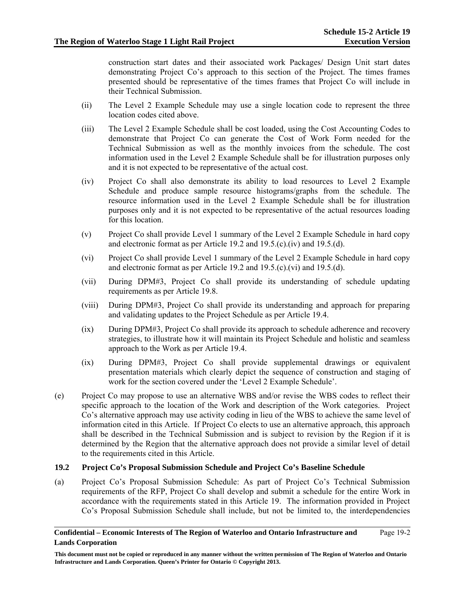construction start dates and their associated work Packages/ Design Unit start dates demonstrating Project Co's approach to this section of the Project. The times frames presented should be representative of the times frames that Project Co will include in their Technical Submission.

- (ii) The Level 2 Example Schedule may use a single location code to represent the three location codes cited above.
- (iii) The Level 2 Example Schedule shall be cost loaded, using the Cost Accounting Codes to demonstrate that Project Co can generate the Cost of Work Form needed for the Technical Submission as well as the monthly invoices from the schedule. The cost information used in the Level 2 Example Schedule shall be for illustration purposes only and it is not expected to be representative of the actual cost.
- (iv) Project Co shall also demonstrate its ability to load resources to Level 2 Example Schedule and produce sample resource histograms/graphs from the schedule. The resource information used in the Level 2 Example Schedule shall be for illustration purposes only and it is not expected to be representative of the actual resources loading for this location.
- (v) Project Co shall provide Level 1 summary of the Level 2 Example Schedule in hard copy and electronic format as per Article 19.2 and 19.5.(c).(iv) and 19.5.(d).
- (vi) Project Co shall provide Level 1 summary of the Level 2 Example Schedule in hard copy and electronic format as per Article 19.2 and 19.5.(c).(vi) and 19.5.(d).
- (vii) During DPM#3, Project Co shall provide its understanding of schedule updating requirements as per Article 19.8.
- (viii) During DPM#3, Project Co shall provide its understanding and approach for preparing and validating updates to the Project Schedule as per Article 19.4.
- (ix) During DPM#3, Project Co shall provide its approach to schedule adherence and recovery strategies, to illustrate how it will maintain its Project Schedule and holistic and seamless approach to the Work as per Article 19.4.
- (ix) During DPM#3, Project Co shall provide supplemental drawings or equivalent presentation materials which clearly depict the sequence of construction and staging of work for the section covered under the 'Level 2 Example Schedule'.
- (e) Project Co may propose to use an alternative WBS and/or revise the WBS codes to reflect their specific approach to the location of the Work and description of the Work categories. Project Co's alternative approach may use activity coding in lieu of the WBS to achieve the same level of information cited in this Article. If Project Co elects to use an alternative approach, this approach shall be described in the Technical Submission and is subject to revision by the Region if it is determined by the Region that the alternative approach does not provide a similar level of detail to the requirements cited in this Article.

### **19.2 Project Co's Proposal Submission Schedule and Project Co's Baseline Schedule**

(a) Project Co's Proposal Submission Schedule: As part of Project Co's Technical Submission requirements of the RFP, Project Co shall develop and submit a schedule for the entire Work in accordance with the requirements stated in this Article 19. The information provided in Project Co's Proposal Submission Schedule shall include, but not be limited to, the interdependencies

#### **Confidential – Economic Interests of The Region of Waterloo and Ontario Infrastructure and Lands Corporation**  Page 19-2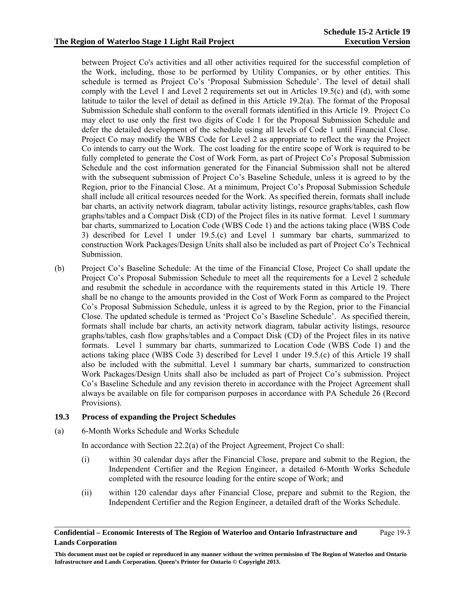between Project Co's activities and all other activities required for the successful completion of the Work, including, those to be performed by Utility Companies, or by other entities. This schedule is termed as Project Co's 'Proposal Submission Schedule'. The level of detail shall comply with the Level 1 and Level 2 requirements set out in Articles  $19.5(c)$  and (d), with some latitude to tailor the level of detail as defined in this Article 19.2(a). The format of the Proposal Submission Schedule shall conform to the overall formats identified in this Article 19. Project Co may elect to use only the first two digits of Code 1 for the Proposal Submission Schedule and defer the detailed development of the schedule using all levels of Code 1 until Financial Close. Project Co may modify the WBS Code for Level 2 as appropriate to reflect the way the Project Co intends to carry out the Work. The cost loading for the entire scope of Work is required to be fully completed to generate the Cost of Work Form, as part of Project Co's Proposal Submission Schedule and the cost information generated for the Financial Submission shall not be altered with the subsequent submission of Project Co's Baseline Schedule, unless it is agreed to by the Region, prior to the Financial Close. At a minimum, Project Co's Proposal Submission Schedule shall include all critical resources needed for the Work. As specified therein, formats shall include bar charts, an activity network diagram, tabular activity listings, resource graphs/tables, cash flow graphs/tables and a Compact Disk (CD) of the Project files in its native format. Level 1 summary bar charts, summarized to Location Code (WBS Code 1) and the actions taking place (WBS Code 3) described for Level 1 under 19.5.(c) and Level 1 summary bar charts, summarized to construction Work Packages/Design Units shall also be included as part of Project Co's Technical Submission.

(b) Project Co's Baseline Schedule: At the time of the Financial Close, Project Co shall update the Project Co's Proposal Submission Schedule to meet all the requirements for a Level 2 schedule and resubmit the schedule in accordance with the requirements stated in this Article 19. There shall be no change to the amounts provided in the Cost of Work Form as compared to the Project Co's Proposal Submission Schedule, unless it is agreed to by the Region, prior to the Financial Close. The updated schedule is termed as 'Project Co's Baseline Schedule'. As specified therein, formats shall include bar charts, an activity network diagram, tabular activity listings, resource graphs/tables, cash flow graphs/tables and a Compact Disk (CD) of the Project files in its native formats. Level 1 summary bar charts, summarized to Location Code (WBS Code 1) and the actions taking place (WBS Code 3) described for Level 1 under 19.5.(c) of this Article 19 shall also be included with the submittal. Level 1 summary bar charts, summarized to construction Work Packages/Design Units shall also be included as part of Project Co's submission. Project Co's Baseline Schedule and any revision thereto in accordance with the Project Agreement shall always be available on file for comparison purposes in accordance with PA Schedule 26 (Record Provisions).

# **19.3 Process of expanding the Project Schedules**

(a) 6-Month Works Schedule and Works Schedule

In accordance with Section 22.2(a) of the Project Agreement, Project Co shall:

- (i) within 30 calendar days after the Financial Close, prepare and submit to the Region, the Independent Certifier and the Region Engineer, a detailed 6-Month Works Schedule completed with the resource loading for the entire scope of Work; and
- (ii) within 120 calendar days after Financial Close, prepare and submit to the Region, the Independent Certifier and the Region Engineer, a detailed draft of the Works Schedule.

**Confidential – Economic Interests of The Region of Waterloo and Ontario Infrastructure and Lands Corporation**  Page 19-3

**This document must not be copied or reproduced in any manner without the written permission of The Region of Waterloo and Ontario Infrastructure and Lands Corporation. Queen's Printer for Ontario © Copyright 2013.**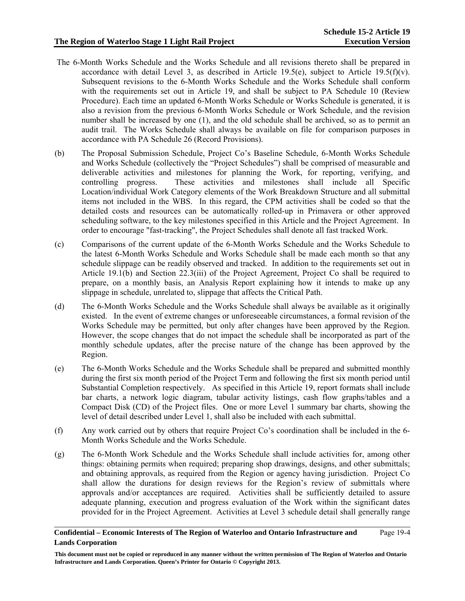## **The Region of Waterloo Stage 1 Light Rail Project**

- The 6-Month Works Schedule and the Works Schedule and all revisions thereto shall be prepared in accordance with detail Level 3, as described in Article 19.5(e), subject to Article 19.5(f)(v). Subsequent revisions to the 6-Month Works Schedule and the Works Schedule shall conform with the requirements set out in Article 19, and shall be subject to PA Schedule 10 (Review Procedure). Each time an updated 6-Month Works Schedule or Works Schedule is generated, it is also a revision from the previous 6-Month Works Schedule or Work Schedule, and the revision number shall be increased by one (1), and the old schedule shall be archived, so as to permit an audit trail. The Works Schedule shall always be available on file for comparison purposes in accordance with PA Schedule 26 (Record Provisions).
- (b) The Proposal Submission Schedule, Project Co's Baseline Schedule, 6-Month Works Schedule and Works Schedule (collectively the "Project Schedules") shall be comprised of measurable and deliverable activities and milestones for planning the Work, for reporting, verifying, and controlling progress. These activities and milestones shall include all Specific Location/individual Work Category elements of the Work Breakdown Structure and all submittal items not included in the WBS. In this regard, the CPM activities shall be coded so that the detailed costs and resources can be automatically rolled-up in Primavera or other approved scheduling software, to the key milestones specified in this Article and the Project Agreement. In order to encourage "fast-tracking", the Project Schedules shall denote all fast tracked Work.
- (c) Comparisons of the current update of the 6-Month Works Schedule and the Works Schedule to the latest 6-Month Works Schedule and Works Schedule shall be made each month so that any schedule slippage can be readily observed and tracked. In addition to the requirements set out in Article 19.1(b) and Section 22.3(iii) of the Project Agreement, Project Co shall be required to prepare, on a monthly basis, an Analysis Report explaining how it intends to make up any slippage in schedule, unrelated to, slippage that affects the Critical Path.
- (d) The 6-Month Works Schedule and the Works Schedule shall always be available as it originally existed. In the event of extreme changes or unforeseeable circumstances, a formal revision of the Works Schedule may be permitted, but only after changes have been approved by the Region. However, the scope changes that do not impact the schedule shall be incorporated as part of the monthly schedule updates, after the precise nature of the change has been approved by the Region.
- (e) The 6-Month Works Schedule and the Works Schedule shall be prepared and submitted monthly during the first six month period of the Project Term and following the first six month period until Substantial Completion respectively. As specified in this Article 19, report formats shall include bar charts, a network logic diagram, tabular activity listings, cash flow graphs/tables and a Compact Disk (CD) of the Project files. One or more Level 1 summary bar charts, showing the level of detail described under Level 1, shall also be included with each submittal.
- (f) Any work carried out by others that require Project Co's coordination shall be included in the 6- Month Works Schedule and the Works Schedule.
- (g) The 6-Month Work Schedule and the Works Schedule shall include activities for, among other things: obtaining permits when required; preparing shop drawings, designs, and other submittals; and obtaining approvals, as required from the Region or agency having jurisdiction. Project Co shall allow the durations for design reviews for the Region's review of submittals where approvals and/or acceptances are required. Activities shall be sufficiently detailed to assure adequate planning, execution and progress evaluation of the Work within the significant dates provided for in the Project Agreement. Activities at Level 3 schedule detail shall generally range

#### **Confidential – Economic Interests of The Region of Waterloo and Ontario Infrastructure and Lands Corporation**  Page 19-4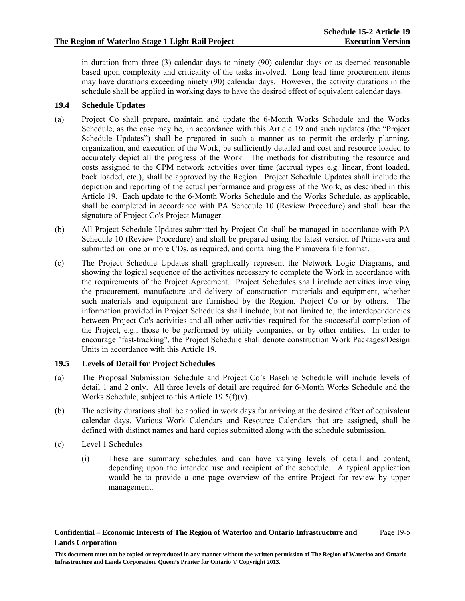in duration from three (3) calendar days to ninety (90) calendar days or as deemed reasonable based upon complexity and criticality of the tasks involved. Long lead time procurement items may have durations exceeding ninety (90) calendar days. However, the activity durations in the schedule shall be applied in working days to have the desired effect of equivalent calendar days.

# **19.4 Schedule Updates**

- (a) Project Co shall prepare, maintain and update the 6-Month Works Schedule and the Works Schedule, as the case may be, in accordance with this Article 19 and such updates (the "Project Schedule Updates") shall be prepared in such a manner as to permit the orderly planning, organization, and execution of the Work, be sufficiently detailed and cost and resource loaded to accurately depict all the progress of the Work. The methods for distributing the resource and costs assigned to the CPM network activities over time (accrual types e.g. linear, front loaded, back loaded, etc.), shall be approved by the Region. Project Schedule Updates shall include the depiction and reporting of the actual performance and progress of the Work, as described in this Article 19. Each update to the 6-Month Works Schedule and the Works Schedule, as applicable, shall be completed in accordance with PA Schedule 10 (Review Procedure) and shall bear the signature of Project Co's Project Manager.
- (b) All Project Schedule Updates submitted by Project Co shall be managed in accordance with PA Schedule 10 (Review Procedure) and shall be prepared using the latest version of Primavera and submitted on one or more CDs, as required, and containing the Primavera file format.
- (c) The Project Schedule Updates shall graphically represent the Network Logic Diagrams, and showing the logical sequence of the activities necessary to complete the Work in accordance with the requirements of the Project Agreement. Project Schedules shall include activities involving the procurement, manufacture and delivery of construction materials and equipment, whether such materials and equipment are furnished by the Region, Project Co or by others. The information provided in Project Schedules shall include, but not limited to, the interdependencies between Project Co's activities and all other activities required for the successful completion of the Project, e.g., those to be performed by utility companies, or by other entities. In order to encourage "fast-tracking", the Project Schedule shall denote construction Work Packages/Design Units in accordance with this Article 19.

# **19.5 Levels of Detail for Project Schedules**

- (a) The Proposal Submission Schedule and Project Co's Baseline Schedule will include levels of detail 1 and 2 only. All three levels of detail are required for 6-Month Works Schedule and the Works Schedule, subject to this Article  $19.5(f)(v)$ .
- (b) The activity durations shall be applied in work days for arriving at the desired effect of equivalent calendar days. Various Work Calendars and Resource Calendars that are assigned, shall be defined with distinct names and hard copies submitted along with the schedule submission.
- (c) Level 1 Schedules
	- (i) These are summary schedules and can have varying levels of detail and content, depending upon the intended use and recipient of the schedule. A typical application would be to provide a one page overview of the entire Project for review by upper management.

**This document must not be copied or reproduced in any manner without the written permission of The Region of Waterloo and Ontario Infrastructure and Lands Corporation. Queen's Printer for Ontario © Copyright 2013.**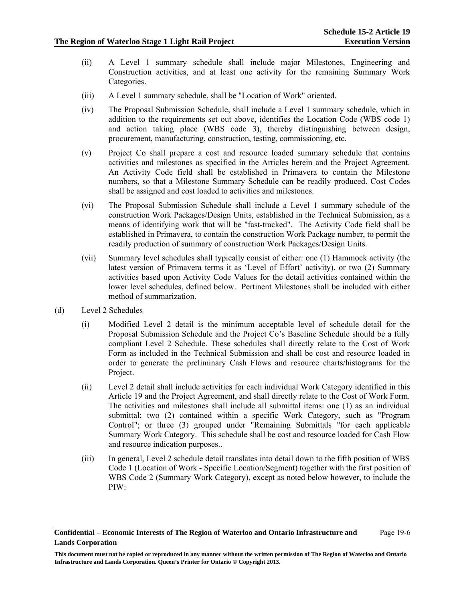- (ii) A Level 1 summary schedule shall include major Milestones, Engineering and Construction activities, and at least one activity for the remaining Summary Work Categories.
- (iii) A Level 1 summary schedule, shall be "Location of Work" oriented.
- (iv) The Proposal Submission Schedule, shall include a Level 1 summary schedule, which in addition to the requirements set out above, identifies the Location Code (WBS code 1) and action taking place (WBS code 3), thereby distinguishing between design, procurement, manufacturing, construction, testing, commissioning, etc.
- (v) Project Co shall prepare a cost and resource loaded summary schedule that contains activities and milestones as specified in the Articles herein and the Project Agreement. An Activity Code field shall be established in Primavera to contain the Milestone numbers, so that a Milestone Summary Schedule can be readily produced. Cost Codes shall be assigned and cost loaded to activities and milestones.
- (vi) The Proposal Submission Schedule shall include a Level 1 summary schedule of the construction Work Packages/Design Units, established in the Technical Submission, as a means of identifying work that will be "fast-tracked". The Activity Code field shall be established in Primavera, to contain the construction Work Package number, to permit the readily production of summary of construction Work Packages/Design Units.
- (vii) Summary level schedules shall typically consist of either: one (1) Hammock activity (the latest version of Primavera terms it as 'Level of Effort' activity), or two (2) Summary activities based upon Activity Code Values for the detail activities contained within the lower level schedules, defined below. Pertinent Milestones shall be included with either method of summarization.
- (d) Level 2 Schedules
	- (i) Modified Level 2 detail is the minimum acceptable level of schedule detail for the Proposal Submission Schedule and the Project Co's Baseline Schedule should be a fully compliant Level 2 Schedule. These schedules shall directly relate to the Cost of Work Form as included in the Technical Submission and shall be cost and resource loaded in order to generate the preliminary Cash Flows and resource charts/histograms for the Project.
	- (ii) Level 2 detail shall include activities for each individual Work Category identified in this Article 19 and the Project Agreement, and shall directly relate to the Cost of Work Form. The activities and milestones shall include all submittal items: one (1) as an individual submittal; two (2) contained within a specific Work Category, such as "Program Control"; or three (3) grouped under "Remaining Submittals "for each applicable Summary Work Category. This schedule shall be cost and resource loaded for Cash Flow and resource indication purposes..
	- (iii) In general, Level 2 schedule detail translates into detail down to the fifth position of WBS Code 1 (Location of Work - Specific Location/Segment) together with the first position of WBS Code 2 (Summary Work Category), except as noted below however, to include the PIW: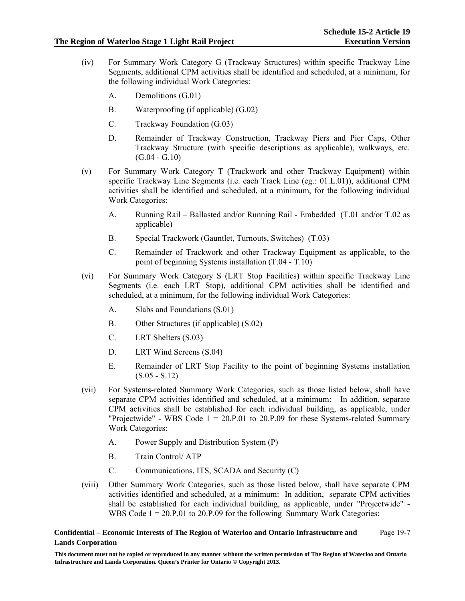- (iv) For Summary Work Category G (Trackway Structures) within specific Trackway Line Segments, additional CPM activities shall be identified and scheduled, at a minimum, for the following individual Work Categories:
	- A. Demolitions (G.01)
	- B. Waterproofing (if applicable) (G.02)
	- C. Trackway Foundation (G.03)
	- D. Remainder of Trackway Construction, Trackway Piers and Pier Caps, Other Trackway Structure (with specific descriptions as applicable), walkways, etc.  $(G.04 - G.10)$
- (v) For Summary Work Category T (Trackwork and other Trackway Equipment) within specific Trackway Line Segments (i.e. each Track Line (eg.: 01.L.01)), additional CPM activities shall be identified and scheduled, at a minimum, for the following individual Work Categories:
	- A. Running Rail Ballasted and/or Running Rail Embedded (T.01 and/or T.02 as applicable)
	- B. Special Trackwork (Gauntlet, Turnouts, Switches) (T.03)
	- C. Remainder of Trackwork and other Trackway Equipment as applicable, to the point of beginning Systems installation (T.04 - T.10)
- (vi) For Summary Work Category S (LRT Stop Facilities) within specific Trackway Line Segments (i.e. each LRT Stop), additional CPM activities shall be identified and scheduled, at a minimum, for the following individual Work Categories:
	- A. Slabs and Foundations (S.01)
	- B. Other Structures (if applicable) (S.02)
	- C. LRT Shelters (S.03)
	- D. LRT Wind Screens (S.04)
	- E. Remainder of LRT Stop Facility to the point of beginning Systems installation (S.05 - S.12)
- (vii) For Systems-related Summary Work Categories, such as those listed below, shall have separate CPM activities identified and scheduled, at a minimum: In addition, separate CPM activities shall be established for each individual building, as applicable, under "Projectwide" - WBS Code  $1 = 20.P.01$  to 20.P.09 for these Systems-related Summary Work Categories:
	- A. Power Supply and Distribution System (P)
	- B. Train Control/ ATP
	- C. Communications, ITS, SCADA and Security (C)
- (viii) Other Summary Work Categories, such as those listed below, shall have separate CPM activities identified and scheduled, at a minimum: In addition, separate CPM activities shall be established for each individual building, as applicable, under "Projectwide" - WBS Code  $1 = 20.P.01$  to 20.P.09 for the following Summary Work Categories: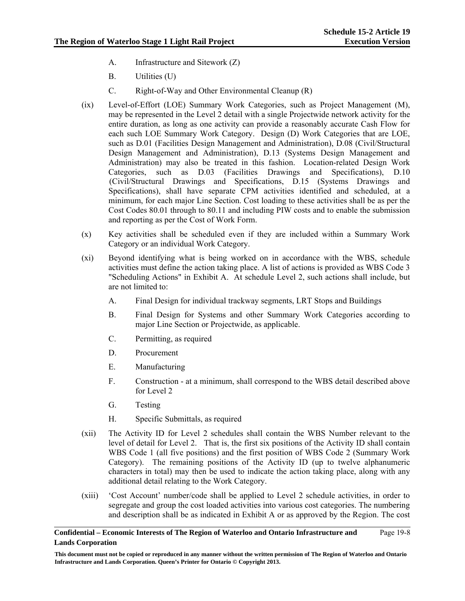- A. Infrastructure and Sitework (Z)
- B. Utilities (U)
- C. Right-of-Way and Other Environmental Cleanup (R)
- (ix) Level-of-Effort (LOE) Summary Work Categories, such as Project Management (M), may be represented in the Level 2 detail with a single Projectwide network activity for the entire duration, as long as one activity can provide a reasonably accurate Cash Flow for each such LOE Summary Work Category. Design (D) Work Categories that are LOE, such as D.01 (Facilities Design Management and Administration), D.08 (Civil/Structural Design Management and Administration), D.13 (Systems Design Management and Administration) may also be treated in this fashion. Location-related Design Work Categories, such as D.03 (Facilities Drawings and Specifications), D.10 (Civil/Structural Drawings and Specifications, D.15 (Systems Drawings and Specifications), shall have separate CPM activities identified and scheduled, at a minimum, for each major Line Section. Cost loading to these activities shall be as per the Cost Codes 80.01 through to 80.11 and including PIW costs and to enable the submission and reporting as per the Cost of Work Form.
- (x) Key activities shall be scheduled even if they are included within a Summary Work Category or an individual Work Category.
- (xi) Beyond identifying what is being worked on in accordance with the WBS, schedule activities must define the action taking place. A list of actions is provided as WBS Code 3 "Scheduling Actions" in Exhibit A. At schedule Level 2, such actions shall include, but are not limited to:
	- A. Final Design for individual trackway segments, LRT Stops and Buildings
	- B. Final Design for Systems and other Summary Work Categories according to major Line Section or Projectwide, as applicable.
	- C. Permitting, as required
	- D. Procurement
	- E. Manufacturing
	- F. Construction at a minimum, shall correspond to the WBS detail described above for Level 2
	- G. Testing
	- H. Specific Submittals, as required
- (xii) The Activity ID for Level 2 schedules shall contain the WBS Number relevant to the level of detail for Level 2. That is, the first six positions of the Activity ID shall contain WBS Code 1 (all five positions) and the first position of WBS Code 2 (Summary Work Category). The remaining positions of the Activity ID (up to twelve alphanumeric characters in total) may then be used to indicate the action taking place, along with any additional detail relating to the Work Category.
- (xiii) 'Cost Account' number/code shall be applied to Level 2 schedule activities, in order to segregate and group the cost loaded activities into various cost categories. The numbering and description shall be as indicated in Exhibit A or as approved by the Region. The cost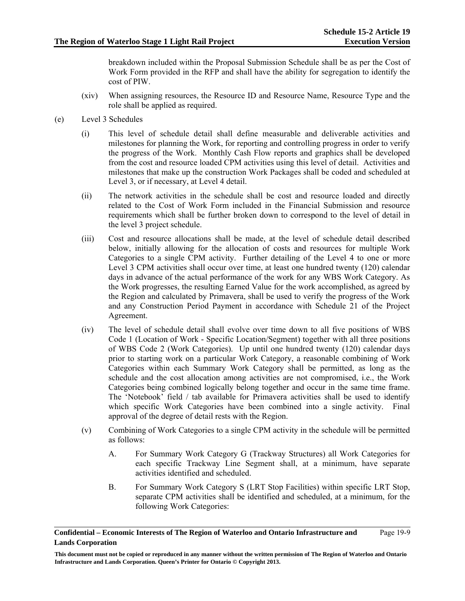breakdown included within the Proposal Submission Schedule shall be as per the Cost of Work Form provided in the RFP and shall have the ability for segregation to identify the cost of PIW.

- (xiv) When assigning resources, the Resource ID and Resource Name, Resource Type and the role shall be applied as required.
- (e) Level 3 Schedules
	- (i) This level of schedule detail shall define measurable and deliverable activities and milestones for planning the Work, for reporting and controlling progress in order to verify the progress of the Work. Monthly Cash Flow reports and graphics shall be developed from the cost and resource loaded CPM activities using this level of detail. Activities and milestones that make up the construction Work Packages shall be coded and scheduled at Level 3, or if necessary, at Level 4 detail.
	- (ii) The network activities in the schedule shall be cost and resource loaded and directly related to the Cost of Work Form included in the Financial Submission and resource requirements which shall be further broken down to correspond to the level of detail in the level 3 project schedule.
	- (iii) Cost and resource allocations shall be made, at the level of schedule detail described below, initially allowing for the allocation of costs and resources for multiple Work Categories to a single CPM activity. Further detailing of the Level 4 to one or more Level 3 CPM activities shall occur over time, at least one hundred twenty (120) calendar days in advance of the actual performance of the work for any WBS Work Category. As the Work progresses, the resulting Earned Value for the work accomplished, as agreed by the Region and calculated by Primavera, shall be used to verify the progress of the Work and any Construction Period Payment in accordance with Schedule 21 of the Project Agreement.
	- (iv) The level of schedule detail shall evolve over time down to all five positions of WBS Code 1 (Location of Work - Specific Location/Segment) together with all three positions of WBS Code 2 (Work Categories). Up until one hundred twenty (120) calendar days prior to starting work on a particular Work Category, a reasonable combining of Work Categories within each Summary Work Category shall be permitted, as long as the schedule and the cost allocation among activities are not compromised, i.e., the Work Categories being combined logically belong together and occur in the same time frame. The 'Notebook' field / tab available for Primavera activities shall be used to identify which specific Work Categories have been combined into a single activity. Final approval of the degree of detail rests with the Region.
	- (v) Combining of Work Categories to a single CPM activity in the schedule will be permitted as follows:
		- A. For Summary Work Category G (Trackway Structures) all Work Categories for each specific Trackway Line Segment shall, at a minimum, have separate activities identified and scheduled.
		- B. For Summary Work Category S (LRT Stop Facilities) within specific LRT Stop, separate CPM activities shall be identified and scheduled, at a minimum, for the following Work Categories:

#### **Confidential – Economic Interests of The Region of Waterloo and Ontario Infrastructure and Lands Corporation**  Page 19-9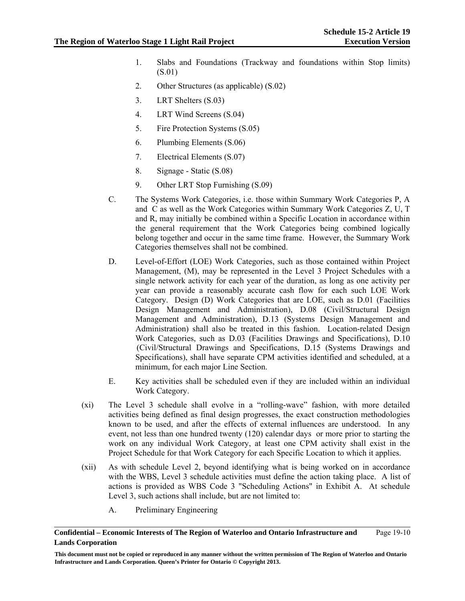- 1. Slabs and Foundations (Trackway and foundations within Stop limits) (S.01)
- 2. Other Structures (as applicable) (S.02)
- 3. LRT Shelters (S.03)
- 4. LRT Wind Screens (S.04)
- 5. Fire Protection Systems (S.05)
- 6. Plumbing Elements (S.06)
- 7. Electrical Elements (S.07)
- 8. Signage Static (S.08)
- 9. Other LRT Stop Furnishing (S.09)
- C. The Systems Work Categories, i.e. those within Summary Work Categories P, A and C as well as the Work Categories within Summary Work Categories Z, U, T and R, may initially be combined within a Specific Location in accordance within the general requirement that the Work Categories being combined logically belong together and occur in the same time frame. However, the Summary Work Categories themselves shall not be combined.
- D. Level-of-Effort (LOE) Work Categories, such as those contained within Project Management, (M), may be represented in the Level 3 Project Schedules with a single network activity for each year of the duration, as long as one activity per year can provide a reasonably accurate cash flow for each such LOE Work Category. Design (D) Work Categories that are LOE, such as D.01 (Facilities Design Management and Administration), D.08 (Civil/Structural Design Management and Administration), D.13 (Systems Design Management and Administration) shall also be treated in this fashion. Location-related Design Work Categories, such as D.03 (Facilities Drawings and Specifications), D.10 (Civil/Structural Drawings and Specifications, D.15 (Systems Drawings and Specifications), shall have separate CPM activities identified and scheduled, at a minimum, for each major Line Section.
- E. Key activities shall be scheduled even if they are included within an individual Work Category.
- (xi) The Level 3 schedule shall evolve in a "rolling-wave" fashion, with more detailed activities being defined as final design progresses, the exact construction methodologies known to be used, and after the effects of external influences are understood. In any event, not less than one hundred twenty (120) calendar days or more prior to starting the work on any individual Work Category, at least one CPM activity shall exist in the Project Schedule for that Work Category for each Specific Location to which it applies.
- (xii) As with schedule Level 2, beyond identifying what is being worked on in accordance with the WBS, Level 3 schedule activities must define the action taking place. A list of actions is provided as WBS Code 3 "Scheduling Actions" in Exhibit A. At schedule Level 3, such actions shall include, but are not limited to:
	- A. Preliminary Engineering

**Confidential – Economic Interests of The Region of Waterloo and Ontario Infrastructure and Lands Corporation**  Page 19-10

**This document must not be copied or reproduced in any manner without the written permission of The Region of Waterloo and Ontario Infrastructure and Lands Corporation. Queen's Printer for Ontario © Copyright 2013.**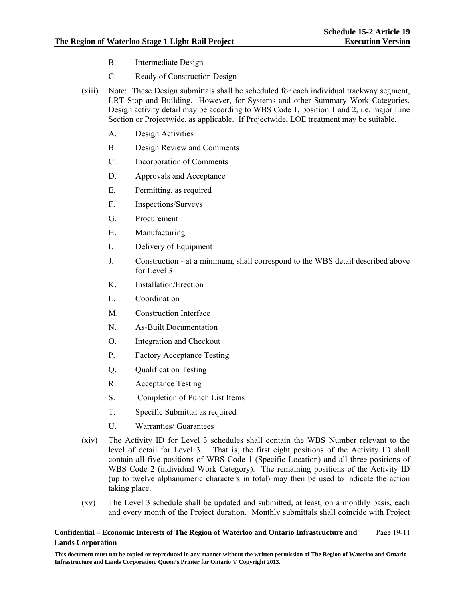- B. Intermediate Design
- C. Ready of Construction Design
- (xiii) Note: These Design submittals shall be scheduled for each individual trackway segment, LRT Stop and Building. However, for Systems and other Summary Work Categories, Design activity detail may be according to WBS Code 1, position 1 and 2, i.e. major Line Section or Projectwide, as applicable. If Projectwide, LOE treatment may be suitable.
	- A. Design Activities
	- B. Design Review and Comments
	- C. Incorporation of Comments
	- D. Approvals and Acceptance
	- E. Permitting, as required
	- F. Inspections/Surveys
	- G. Procurement
	- H. Manufacturing
	- I. Delivery of Equipment
	- J. Construction at a minimum, shall correspond to the WBS detail described above for Level 3
	- K. Installation/Erection
	- L. Coordination
	- M. Construction Interface
	- N. As-Built Documentation
	- O. Integration and Checkout
	- P. Factory Acceptance Testing
	- Q. Qualification Testing
	- R. Acceptance Testing
	- S. Completion of Punch List Items
	- T. Specific Submittal as required
	- U. Warranties/ Guarantees
- (xiv) The Activity ID for Level 3 schedules shall contain the WBS Number relevant to the level of detail for Level 3. That is, the first eight positions of the Activity ID shall contain all five positions of WBS Code 1 (Specific Location) and all three positions of WBS Code 2 (individual Work Category). The remaining positions of the Activity ID (up to twelve alphanumeric characters in total) may then be used to indicate the action taking place.
- (xv) The Level 3 schedule shall be updated and submitted, at least, on a monthly basis, each and every month of the Project duration. Monthly submittals shall coincide with Project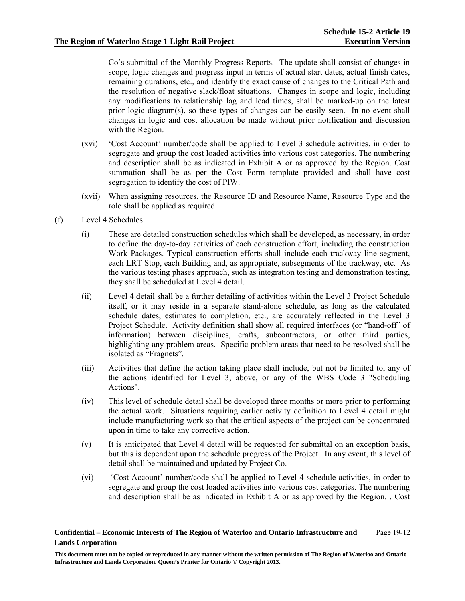Co's submittal of the Monthly Progress Reports. The update shall consist of changes in scope, logic changes and progress input in terms of actual start dates, actual finish dates, remaining durations, etc., and identify the exact cause of changes to the Critical Path and the resolution of negative slack/float situations. Changes in scope and logic, including any modifications to relationship lag and lead times, shall be marked-up on the latest prior logic diagram(s), so these types of changes can be easily seen. In no event shall changes in logic and cost allocation be made without prior notification and discussion with the Region.

- (xvi) 'Cost Account' number/code shall be applied to Level 3 schedule activities, in order to segregate and group the cost loaded activities into various cost categories. The numbering and description shall be as indicated in Exhibit A or as approved by the Region. Cost summation shall be as per the Cost Form template provided and shall have cost segregation to identify the cost of PIW.
- (xvii) When assigning resources, the Resource ID and Resource Name, Resource Type and the role shall be applied as required.
- (f) Level 4 Schedules
	- (i) These are detailed construction schedules which shall be developed, as necessary, in order to define the day-to-day activities of each construction effort, including the construction Work Packages. Typical construction efforts shall include each trackway line segment, each LRT Stop, each Building and, as appropriate, subsegments of the trackway, etc. As the various testing phases approach, such as integration testing and demonstration testing, they shall be scheduled at Level 4 detail.
	- (ii) Level 4 detail shall be a further detailing of activities within the Level 3 Project Schedule itself, or it may reside in a separate stand-alone schedule, as long as the calculated schedule dates, estimates to completion, etc., are accurately reflected in the Level 3 Project Schedule. Activity definition shall show all required interfaces (or "hand-off" of information) between disciplines, crafts, subcontractors, or other third parties, highlighting any problem areas. Specific problem areas that need to be resolved shall be isolated as "Fragnets".
	- (iii) Activities that define the action taking place shall include, but not be limited to, any of the actions identified for Level 3, above, or any of the WBS Code 3 "Scheduling Actions".
	- (iv) This level of schedule detail shall be developed three months or more prior to performing the actual work. Situations requiring earlier activity definition to Level 4 detail might include manufacturing work so that the critical aspects of the project can be concentrated upon in time to take any corrective action.
	- (v) It is anticipated that Level 4 detail will be requested for submittal on an exception basis, but this is dependent upon the schedule progress of the Project. In any event, this level of detail shall be maintained and updated by Project Co.
	- (vi) 'Cost Account' number/code shall be applied to Level 4 schedule activities, in order to segregate and group the cost loaded activities into various cost categories. The numbering and description shall be as indicated in Exhibit A or as approved by the Region. . Cost

**Confidential – Economic Interests of The Region of Waterloo and Ontario Infrastructure and Lands Corporation**  Page 19-12

**This document must not be copied or reproduced in any manner without the written permission of The Region of Waterloo and Ontario Infrastructure and Lands Corporation. Queen's Printer for Ontario © Copyright 2013.**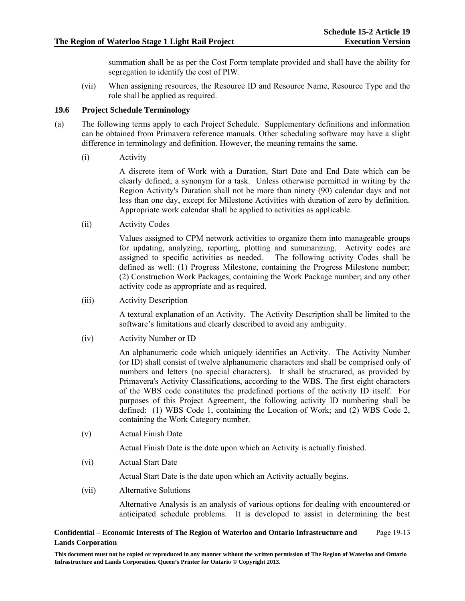summation shall be as per the Cost Form template provided and shall have the ability for segregation to identify the cost of PIW.

(vii) When assigning resources, the Resource ID and Resource Name, Resource Type and the role shall be applied as required.

### **19.6 Project Schedule Terminology**

- (a) The following terms apply to each Project Schedule. Supplementary definitions and information can be obtained from Primavera reference manuals. Other scheduling software may have a slight difference in terminology and definition. However, the meaning remains the same.
	- (i) Activity

A discrete item of Work with a Duration, Start Date and End Date which can be clearly defined; a synonym for a task. Unless otherwise permitted in writing by the Region Activity's Duration shall not be more than ninety (90) calendar days and not less than one day, except for Milestone Activities with duration of zero by definition. Appropriate work calendar shall be applied to activities as applicable.

(ii) Activity Codes

Values assigned to CPM network activities to organize them into manageable groups for updating, analyzing, reporting, plotting and summarizing. Activity codes are assigned to specific activities as needed. The following activity Codes shall be defined as well: (1) Progress Milestone, containing the Progress Milestone number; (2) Construction Work Packages, containing the Work Package number; and any other activity code as appropriate and as required.

(iii) Activity Description

A textural explanation of an Activity. The Activity Description shall be limited to the software's limitations and clearly described to avoid any ambiguity.

(iv) Activity Number or ID

An alphanumeric code which uniquely identifies an Activity. The Activity Number (or ID) shall consist of twelve alphanumeric characters and shall be comprised only of numbers and letters (no special characters). It shall be structured, as provided by Primavera's Activity Classifications, according to the WBS. The first eight characters of the WBS code constitutes the predefined portions of the activity ID itself. For purposes of this Project Agreement, the following activity ID numbering shall be defined: (1) WBS Code 1, containing the Location of Work; and (2) WBS Code 2, containing the Work Category number.

(v) Actual Finish Date

Actual Finish Date is the date upon which an Activity is actually finished.

(vi) Actual Start Date

Actual Start Date is the date upon which an Activity actually begins.

(vii) Alternative Solutions

Alternative Analysis is an analysis of various options for dealing with encountered or anticipated schedule problems. It is developed to assist in determining the best

#### **Confidential – Economic Interests of The Region of Waterloo and Ontario Infrastructure and Lands Corporation**  Page 19-13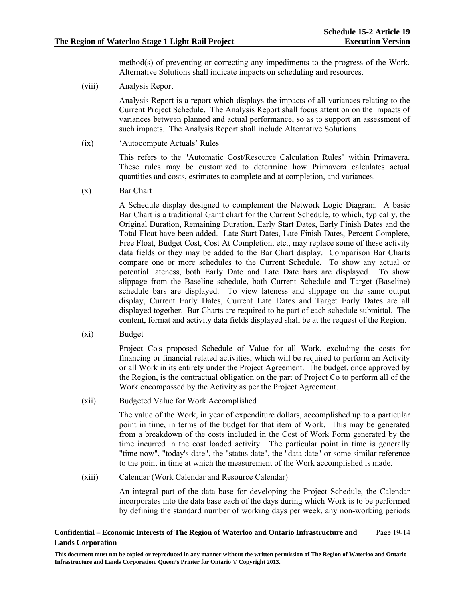method(s) of preventing or correcting any impediments to the progress of the Work. Alternative Solutions shall indicate impacts on scheduling and resources.

(viii) Analysis Report

Analysis Report is a report which displays the impacts of all variances relating to the Current Project Schedule. The Analysis Report shall focus attention on the impacts of variances between planned and actual performance, so as to support an assessment of such impacts. The Analysis Report shall include Alternative Solutions.

(ix) 'Autocompute Actuals' Rules

This refers to the "Automatic Cost/Resource Calculation Rules" within Primavera. These rules may be customized to determine how Primavera calculates actual quantities and costs, estimates to complete and at completion, and variances.

(x) Bar Chart

A Schedule display designed to complement the Network Logic Diagram. A basic Bar Chart is a traditional Gantt chart for the Current Schedule, to which, typically, the Original Duration, Remaining Duration, Early Start Dates, Early Finish Dates and the Total Float have been added. Late Start Dates, Late Finish Dates, Percent Complete, Free Float, Budget Cost, Cost At Completion, etc., may replace some of these activity data fields or they may be added to the Bar Chart display. Comparison Bar Charts compare one or more schedules to the Current Schedule. To show any actual or potential lateness, both Early Date and Late Date bars are displayed. To show slippage from the Baseline schedule, both Current Schedule and Target (Baseline) schedule bars are displayed. To view lateness and slippage on the same output display, Current Early Dates, Current Late Dates and Target Early Dates are all displayed together. Bar Charts are required to be part of each schedule submittal. The content, format and activity data fields displayed shall be at the request of the Region.

(xi) Budget

Project Co's proposed Schedule of Value for all Work, excluding the costs for financing or financial related activities, which will be required to perform an Activity or all Work in its entirety under the Project Agreement. The budget, once approved by the Region, is the contractual obligation on the part of Project Co to perform all of the Work encompassed by the Activity as per the Project Agreement.

(xii) Budgeted Value for Work Accomplished

The value of the Work, in year of expenditure dollars, accomplished up to a particular point in time, in terms of the budget for that item of Work. This may be generated from a breakdown of the costs included in the Cost of Work Form generated by the time incurred in the cost loaded activity. The particular point in time is generally "time now", "today's date", the "status date", the "data date" or some similar reference to the point in time at which the measurement of the Work accomplished is made.

(xiii) Calendar (Work Calendar and Resource Calendar)

An integral part of the data base for developing the Project Schedule, the Calendar incorporates into the data base each of the days during which Work is to be performed by defining the standard number of working days per week, any non-working periods

#### **Confidential – Economic Interests of The Region of Waterloo and Ontario Infrastructure and Lands Corporation**  Page 19-14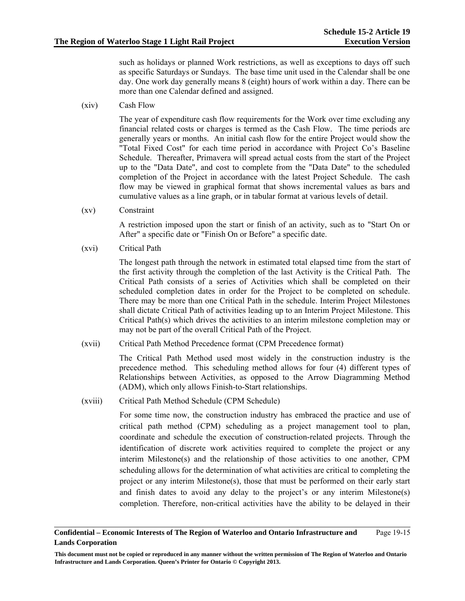such as holidays or planned Work restrictions, as well as exceptions to days off such as specific Saturdays or Sundays. The base time unit used in the Calendar shall be one day. One work day generally means 8 (eight) hours of work within a day. There can be more than one Calendar defined and assigned.

(xiv) Cash Flow

The year of expenditure cash flow requirements for the Work over time excluding any financial related costs or charges is termed as the Cash Flow. The time periods are generally years or months. An initial cash flow for the entire Project would show the "Total Fixed Cost" for each time period in accordance with Project Co's Baseline Schedule. Thereafter, Primavera will spread actual costs from the start of the Project up to the "Data Date", and cost to complete from the "Data Date" to the scheduled completion of the Project in accordance with the latest Project Schedule. The cash flow may be viewed in graphical format that shows incremental values as bars and cumulative values as a line graph, or in tabular format at various levels of detail.

(xv) Constraint

A restriction imposed upon the start or finish of an activity, such as to "Start On or After" a specific date or "Finish On or Before" a specific date.

(xvi) Critical Path

The longest path through the network in estimated total elapsed time from the start of the first activity through the completion of the last Activity is the Critical Path. The Critical Path consists of a series of Activities which shall be completed on their scheduled completion dates in order for the Project to be completed on schedule. There may be more than one Critical Path in the schedule. Interim Project Milestones shall dictate Critical Path of activities leading up to an Interim Project Milestone. This Critical Path(s) which drives the activities to an interim milestone completion may or may not be part of the overall Critical Path of the Project.

(xvii) Critical Path Method Precedence format (CPM Precedence format)

The Critical Path Method used most widely in the construction industry is the precedence method. This scheduling method allows for four (4) different types of Relationships between Activities, as opposed to the Arrow Diagramming Method (ADM), which only allows Finish-to-Start relationships.

(xviii) Critical Path Method Schedule (CPM Schedule)

For some time now, the construction industry has embraced the practice and use of critical path method (CPM) scheduling as a project management tool to plan, coordinate and schedule the execution of construction-related projects. Through the identification of discrete work activities required to complete the project or any interim Milestone(s) and the relationship of those activities to one another, CPM scheduling allows for the determination of what activities are critical to completing the project or any interim Milestone(s), those that must be performed on their early start and finish dates to avoid any delay to the project's or any interim Milestone(s) completion. Therefore, non-critical activities have the ability to be delayed in their

#### **Confidential – Economic Interests of The Region of Waterloo and Ontario Infrastructure and Lands Corporation**  Page 19-15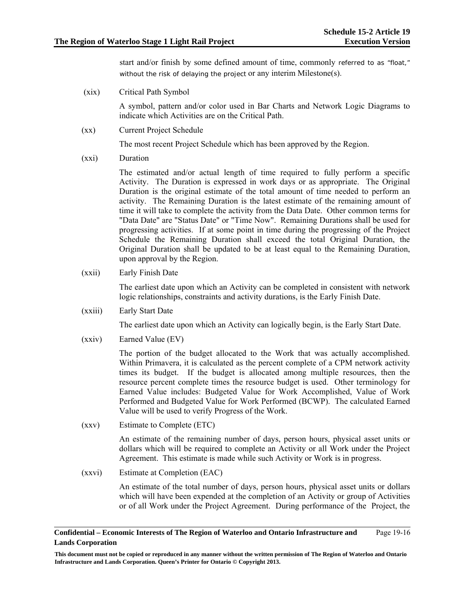start and/or finish by some defined amount of time, commonly referred to as "float," without the risk of delaying the project or any interim Milestone(s).

(xix) Critical Path Symbol

A symbol, pattern and/or color used in Bar Charts and Network Logic Diagrams to indicate which Activities are on the Critical Path.

(xx) Current Project Schedule

The most recent Project Schedule which has been approved by the Region.

(xxi) Duration

The estimated and/or actual length of time required to fully perform a specific Activity. The Duration is expressed in work days or as appropriate. The Original Duration is the original estimate of the total amount of time needed to perform an activity. The Remaining Duration is the latest estimate of the remaining amount of time it will take to complete the activity from the Data Date. Other common terms for "Data Date" are "Status Date" or "Time Now". Remaining Durations shall be used for progressing activities. If at some point in time during the progressing of the Project Schedule the Remaining Duration shall exceed the total Original Duration, the Original Duration shall be updated to be at least equal to the Remaining Duration, upon approval by the Region.

(xxii) Early Finish Date

The earliest date upon which an Activity can be completed in consistent with network logic relationships, constraints and activity durations, is the Early Finish Date.

(xxiii) Early Start Date

The earliest date upon which an Activity can logically begin, is the Early Start Date.

(xxiv) Earned Value (EV)

The portion of the budget allocated to the Work that was actually accomplished. Within Primavera, it is calculated as the percent complete of a CPM network activity times its budget. If the budget is allocated among multiple resources, then the resource percent complete times the resource budget is used. Other terminology for Earned Value includes: Budgeted Value for Work Accomplished, Value of Work Performed and Budgeted Value for Work Performed (BCWP). The calculated Earned Value will be used to verify Progress of the Work.

(xxv) Estimate to Complete (ETC)

An estimate of the remaining number of days, person hours, physical asset units or dollars which will be required to complete an Activity or all Work under the Project Agreement. This estimate is made while such Activity or Work is in progress.

(xxvi) Estimate at Completion (EAC)

An estimate of the total number of days, person hours, physical asset units or dollars which will have been expended at the completion of an Activity or group of Activities or of all Work under the Project Agreement. During performance of the Project, the

#### **Confidential – Economic Interests of The Region of Waterloo and Ontario Infrastructure and Lands Corporation**  Page 19-16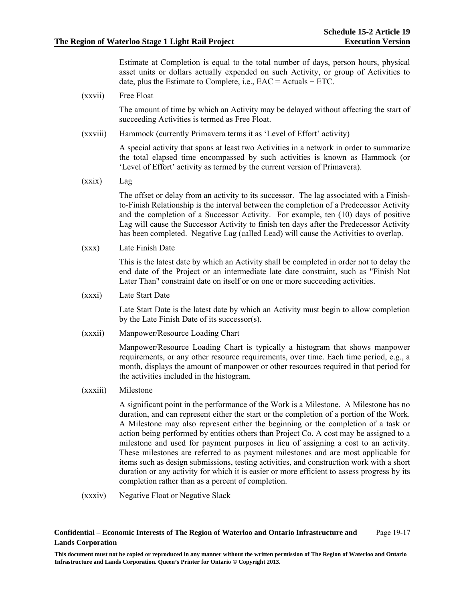Estimate at Completion is equal to the total number of days, person hours, physical asset units or dollars actually expended on such Activity, or group of Activities to date, plus the Estimate to Complete, i.e.,  $EAC = Actuals + ETC$ .

(xxvii) Free Float

The amount of time by which an Activity may be delayed without affecting the start of succeeding Activities is termed as Free Float.

(xxviii) Hammock (currently Primavera terms it as 'Level of Effort' activity)

A special activity that spans at least two Activities in a network in order to summarize the total elapsed time encompassed by such activities is known as Hammock (or 'Level of Effort' activity as termed by the current version of Primavera).

(xxix) Lag

The offset or delay from an activity to its successor. The lag associated with a Finishto-Finish Relationship is the interval between the completion of a Predecessor Activity and the completion of a Successor Activity. For example, ten (10) days of positive Lag will cause the Successor Activity to finish ten days after the Predecessor Activity has been completed. Negative Lag (called Lead) will cause the Activities to overlap.

(xxx) Late Finish Date

This is the latest date by which an Activity shall be completed in order not to delay the end date of the Project or an intermediate late date constraint, such as "Finish Not Later Than" constraint date on itself or on one or more succeeding activities.

(xxxi) Late Start Date

Late Start Date is the latest date by which an Activity must begin to allow completion by the Late Finish Date of its successor(s).

(xxxii) Manpower/Resource Loading Chart

Manpower/Resource Loading Chart is typically a histogram that shows manpower requirements, or any other resource requirements, over time. Each time period, e.g., a month, displays the amount of manpower or other resources required in that period for the activities included in the histogram.

(xxxiii) Milestone

A significant point in the performance of the Work is a Milestone. A Milestone has no duration, and can represent either the start or the completion of a portion of the Work. A Milestone may also represent either the beginning or the completion of a task or action being performed by entities others than Project Co. A cost may be assigned to a milestone and used for payment purposes in lieu of assigning a cost to an activity. These milestones are referred to as payment milestones and are most applicable for items such as design submissions, testing activities, and construction work with a short duration or any activity for which it is easier or more efficient to assess progress by its completion rather than as a percent of completion.

(xxxiv) Negative Float or Negative Slack

#### **Confidential – Economic Interests of The Region of Waterloo and Ontario Infrastructure and Lands Corporation**  Page 19-17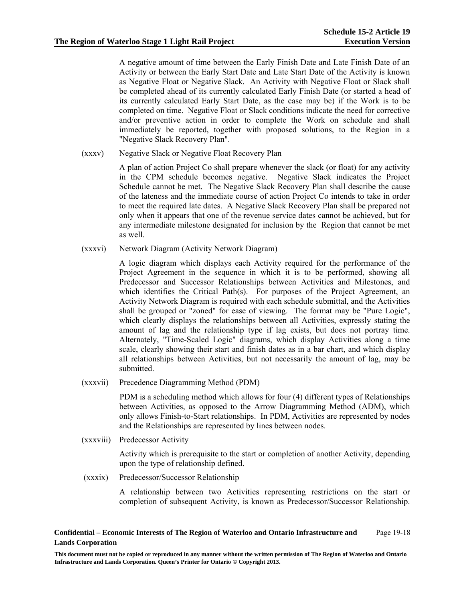A negative amount of time between the Early Finish Date and Late Finish Date of an Activity or between the Early Start Date and Late Start Date of the Activity is known as Negative Float or Negative Slack. An Activity with Negative Float or Slack shall be completed ahead of its currently calculated Early Finish Date (or started a head of its currently calculated Early Start Date, as the case may be) if the Work is to be completed on time. Negative Float or Slack conditions indicate the need for corrective and/or preventive action in order to complete the Work on schedule and shall immediately be reported, together with proposed solutions, to the Region in a "Negative Slack Recovery Plan".

(xxxv) Negative Slack or Negative Float Recovery Plan

A plan of action Project Co shall prepare whenever the slack (or float) for any activity in the CPM schedule becomes negative. Negative Slack indicates the Project Schedule cannot be met. The Negative Slack Recovery Plan shall describe the cause of the lateness and the immediate course of action Project Co intends to take in order to meet the required late dates. A Negative Slack Recovery Plan shall be prepared not only when it appears that one of the revenue service dates cannot be achieved, but for any intermediate milestone designated for inclusion by the Region that cannot be met as well.

(xxxvi) Network Diagram (Activity Network Diagram)

A logic diagram which displays each Activity required for the performance of the Project Agreement in the sequence in which it is to be performed, showing all Predecessor and Successor Relationships between Activities and Milestones, and which identifies the Critical Path(s). For purposes of the Project Agreement, an Activity Network Diagram is required with each schedule submittal, and the Activities shall be grouped or "zoned" for ease of viewing. The format may be "Pure Logic", which clearly displays the relationships between all Activities, expressly stating the amount of lag and the relationship type if lag exists, but does not portray time. Alternately, "Time-Scaled Logic" diagrams, which display Activities along a time scale, clearly showing their start and finish dates as in a bar chart, and which display all relationships between Activities, but not necessarily the amount of lag, may be submitted.

(xxxvii) Precedence Diagramming Method (PDM)

PDM is a scheduling method which allows for four (4) different types of Relationships between Activities, as opposed to the Arrow Diagramming Method (ADM), which only allows Finish-to-Start relationships. In PDM, Activities are represented by nodes and the Relationships are represented by lines between nodes.

(xxxviii) Predecessor Activity

Activity which is prerequisite to the start or completion of another Activity, depending upon the type of relationship defined.

(xxxix) Predecessor/Successor Relationship

A relationship between two Activities representing restrictions on the start or completion of subsequent Activity, is known as Predecessor/Successor Relationship.

#### **Confidential – Economic Interests of The Region of Waterloo and Ontario Infrastructure and Lands Corporation**  Page 19-18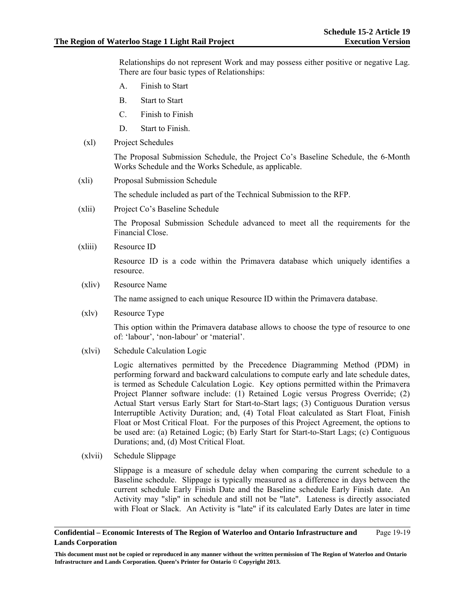Relationships do not represent Work and may possess either positive or negative Lag. There are four basic types of Relationships:

- A. Finish to Start
- B. Start to Start
- C. Finish to Finish
- D. Start to Finish.
- (xl) Project Schedules

The Proposal Submission Schedule, the Project Co's Baseline Schedule, the 6-Month Works Schedule and the Works Schedule, as applicable.

(xli) Proposal Submission Schedule

The schedule included as part of the Technical Submission to the RFP.

(xlii) Project Co's Baseline Schedule

The Proposal Submission Schedule advanced to meet all the requirements for the Financial Close.

(xliii) Resource ID

Resource ID is a code within the Primavera database which uniquely identifies a resource.

(xliv) Resource Name

The name assigned to each unique Resource ID within the Primavera database.

(xlv) Resource Type

This option within the Primavera database allows to choose the type of resource to one of: 'labour', 'non-labour' or 'material'.

(xlvi) Schedule Calculation Logic

Logic alternatives permitted by the Precedence Diagramming Method (PDM) in performing forward and backward calculations to compute early and late schedule dates, is termed as Schedule Calculation Logic. Key options permitted within the Primavera Project Planner software include: (1) Retained Logic versus Progress Override; (2) Actual Start versus Early Start for Start-to-Start lags; (3) Contiguous Duration versus Interruptible Activity Duration; and, (4) Total Float calculated as Start Float, Finish Float or Most Critical Float. For the purposes of this Project Agreement, the options to be used are: (a) Retained Logic; (b) Early Start for Start-to-Start Lags; (c) Contiguous Durations; and, (d) Most Critical Float.

(xlvii) Schedule Slippage

Slippage is a measure of schedule delay when comparing the current schedule to a Baseline schedule. Slippage is typically measured as a difference in days between the current schedule Early Finish Date and the Baseline schedule Early Finish date. An Activity may "slip" in schedule and still not be "late". Lateness is directly associated with Float or Slack. An Activity is "late" if its calculated Early Dates are later in time

#### **Confidential – Economic Interests of The Region of Waterloo and Ontario Infrastructure and Lands Corporation**  Page 19-19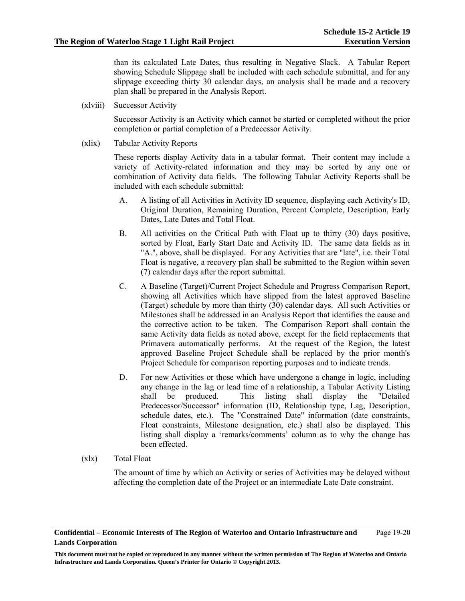than its calculated Late Dates, thus resulting in Negative Slack. A Tabular Report showing Schedule Slippage shall be included with each schedule submittal, and for any slippage exceeding thirty 30 calendar days, an analysis shall be made and a recovery plan shall be prepared in the Analysis Report.

(xlviii) Successor Activity

Successor Activity is an Activity which cannot be started or completed without the prior completion or partial completion of a Predecessor Activity.

(xlix) Tabular Activity Reports

These reports display Activity data in a tabular format. Their content may include a variety of Activity-related information and they may be sorted by any one or combination of Activity data fields. The following Tabular Activity Reports shall be included with each schedule submittal:

- A. A listing of all Activities in Activity ID sequence, displaying each Activity's ID, Original Duration, Remaining Duration, Percent Complete, Description, Early Dates, Late Dates and Total Float.
- B. All activities on the Critical Path with Float up to thirty (30) days positive, sorted by Float, Early Start Date and Activity ID. The same data fields as in "A.", above, shall be displayed. For any Activities that are "late", i.e. their Total Float is negative, a recovery plan shall be submitted to the Region within seven (7) calendar days after the report submittal.
- C. A Baseline (Target)/Current Project Schedule and Progress Comparison Report, showing all Activities which have slipped from the latest approved Baseline (Target) schedule by more than thirty (30) calendar days. All such Activities or Milestones shall be addressed in an Analysis Report that identifies the cause and the corrective action to be taken. The Comparison Report shall contain the same Activity data fields as noted above, except for the field replacements that Primavera automatically performs. At the request of the Region, the latest approved Baseline Project Schedule shall be replaced by the prior month's Project Schedule for comparison reporting purposes and to indicate trends.
- D. For new Activities or those which have undergone a change in logic, including any change in the lag or lead time of a relationship, a Tabular Activity Listing shall be produced. This listing shall display the "Detailed shall be produced. This listing shall display the Predecessor/Successor" information (ID, Relationship type, Lag, Description, schedule dates, etc.). The "Constrained Date" information (date constraints, Float constraints, Milestone designation, etc.) shall also be displayed. This listing shall display a 'remarks/comments' column as to why the change has been effected.
- (xlx) Total Float

The amount of time by which an Activity or series of Activities may be delayed without affecting the completion date of the Project or an intermediate Late Date constraint.

#### **Confidential – Economic Interests of The Region of Waterloo and Ontario Infrastructure and Lands Corporation**  Page 19-20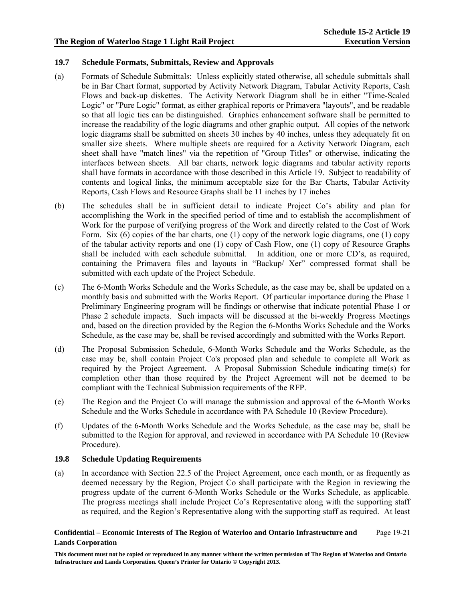### **19.7 Schedule Formats, Submittals, Review and Approvals**

- (a) Formats of Schedule Submittals: Unless explicitly stated otherwise, all schedule submittals shall be in Bar Chart format, supported by Activity Network Diagram, Tabular Activity Reports, Cash Flows and back-up diskettes. The Activity Network Diagram shall be in either "Time-Scaled Logic" or "Pure Logic" format, as either graphical reports or Primavera "layouts", and be readable so that all logic ties can be distinguished. Graphics enhancement software shall be permitted to increase the readability of the logic diagrams and other graphic output. All copies of the network logic diagrams shall be submitted on sheets 30 inches by 40 inches, unless they adequately fit on smaller size sheets. Where multiple sheets are required for a Activity Network Diagram, each sheet shall have "match lines" via the repetition of "Group Titles" or otherwise, indicating the interfaces between sheets. All bar charts, network logic diagrams and tabular activity reports shall have formats in accordance with those described in this Article 19. Subject to readability of contents and logical links, the minimum acceptable size for the Bar Charts, Tabular Activity Reports, Cash Flows and Resource Graphs shall be 11 inches by 17 inches
- (b) The schedules shall be in sufficient detail to indicate Project Co's ability and plan for accomplishing the Work in the specified period of time and to establish the accomplishment of Work for the purpose of verifying progress of the Work and directly related to the Cost of Work Form. Six (6) copies of the bar charts, one (1) copy of the network logic diagrams, one (1) copy of the tabular activity reports and one (1) copy of Cash Flow, one (1) copy of Resource Graphs shall be included with each schedule submittal. In addition, one or more CD's, as required, containing the Primavera files and layouts in "Backup/ Xer" compressed format shall be submitted with each update of the Project Schedule.
- (c) The 6-Month Works Schedule and the Works Schedule, as the case may be, shall be updated on a monthly basis and submitted with the Works Report. Of particular importance during the Phase 1 Preliminary Engineering program will be findings or otherwise that indicate potential Phase 1 or Phase 2 schedule impacts. Such impacts will be discussed at the bi-weekly Progress Meetings and, based on the direction provided by the Region the 6-Months Works Schedule and the Works Schedule, as the case may be, shall be revised accordingly and submitted with the Works Report.
- (d) The Proposal Submission Schedule, 6-Month Works Schedule and the Works Schedule, as the case may be, shall contain Project Co's proposed plan and schedule to complete all Work as required by the Project Agreement. A Proposal Submission Schedule indicating time(s) for completion other than those required by the Project Agreement will not be deemed to be compliant with the Technical Submission requirements of the RFP.
- (e) The Region and the Project Co will manage the submission and approval of the 6-Month Works Schedule and the Works Schedule in accordance with PA Schedule 10 (Review Procedure).
- (f) Updates of the 6-Month Works Schedule and the Works Schedule, as the case may be, shall be submitted to the Region for approval, and reviewed in accordance with PA Schedule 10 (Review Procedure).

# **19.8 Schedule Updating Requirements**

(a) In accordance with Section 22.5 of the Project Agreement, once each month, or as frequently as deemed necessary by the Region, Project Co shall participate with the Region in reviewing the progress update of the current 6-Month Works Schedule or the Works Schedule, as applicable. The progress meetings shall include Project Co's Representative along with the supporting staff as required, and the Region's Representative along with the supporting staff as required. At least

#### **Confidential – Economic Interests of The Region of Waterloo and Ontario Infrastructure and Lands Corporation**  Page 19-21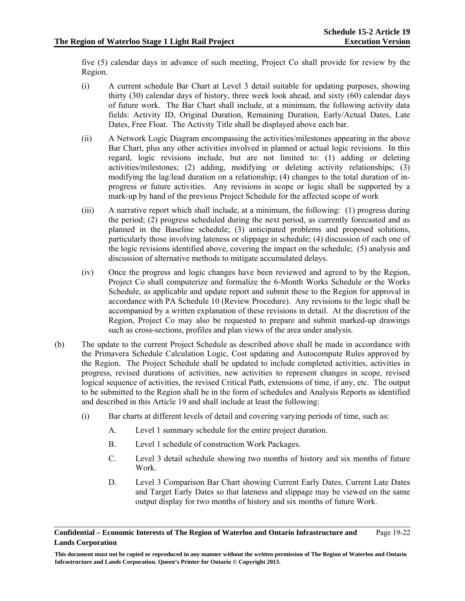five (5) calendar days in advance of such meeting, Project Co shall provide for review by the Region.

- (i) A current schedule Bar Chart at Level 3 detail suitable for updating purposes, showing thirty (30) calendar days of history, three week look ahead, and sixty (60) calendar days of future work. The Bar Chart shall include, at a minimum, the following activity data fields: Activity ID, Original Duration, Remaining Duration, Early/Actual Dates, Late Dates, Free Float. The Activity Title shall be displayed above each bar.
- (ii) A Network Logic Diagram encompassing the activities/milestones appearing in the above Bar Chart, plus any other activities involved in planned or actual logic revisions. In this regard, logic revisions include, but are not limited to: (1) adding or deleting activities/milestones; (2) adding, modifying or deleting activity relationships; (3) modifying the lag/lead duration on a relationship; (4) changes to the total duration of inprogress or future activities. Any revisions in scope or logic shall be supported by a mark-up by hand of the previous Project Schedule for the affected scope of work
- (iii) A narrative report which shall include, at a minimum, the following: (1) progress during the period; (2) progress scheduled during the next period, as currently forecasted and as planned in the Baseline schedule; (3) anticipated problems and proposed solutions, particularly those involving lateness or slippage in schedule; (4) discussion of each one of the logic revisions identified above, covering the impact on the schedule; (5) analysis and discussion of alternative methods to mitigate accumulated delays.
- (iv) Once the progress and logic changes have been reviewed and agreed to by the Region, Project Co shall computerize and formalize the 6-Month Works Schedule or the Works Schedule, as applicable and update report and submit these to the Region for approval in accordance with PA Schedule 10 (Review Procedure). Any revisions to the logic shall be accompanied by a written explanation of these revisions in detail. At the discretion of the Region, Project Co may also be requested to prepare and submit marked-up drawings such as cross-sections, profiles and plan views of the area under analysis.
- (b) The update to the current Project Schedule as described above shall be made in accordance with the Primavera Schedule Calculation Logic, Cost updating and Autocompute Rules approved by the Region. The Project Schedule shall be updated to include completed activities, activities in progress, revised durations of activities, new activities to represent changes in scope, revised logical sequence of activities, the revised Critical Path, extensions of time, if any, etc. The output to be submitted to the Region shall be in the form of schedules and Analysis Reports as identified and described in this Article 19 and shall include at least the following:
	- (i) Bar charts at different levels of detail and covering varying periods of time, such as:
		- A. Level 1 summary schedule for the entire project duration.
		- B. Level 1 schedule of construction Work Packages.
		- C. Level 3 detail schedule showing two months of history and six months of future Work.
		- D. Level 3 Comparison Bar Chart showing Current Early Dates, Current Late Dates and Target Early Dates so that lateness and slippage may be viewed on the same output display for two months of history and six months of future Work.

**Confidential – Economic Interests of The Region of Waterloo and Ontario Infrastructure and Lands Corporation**  Page 19-22

**This document must not be copied or reproduced in any manner without the written permission of The Region of Waterloo and Ontario Infrastructure and Lands Corporation. Queen's Printer for Ontario © Copyright 2013.**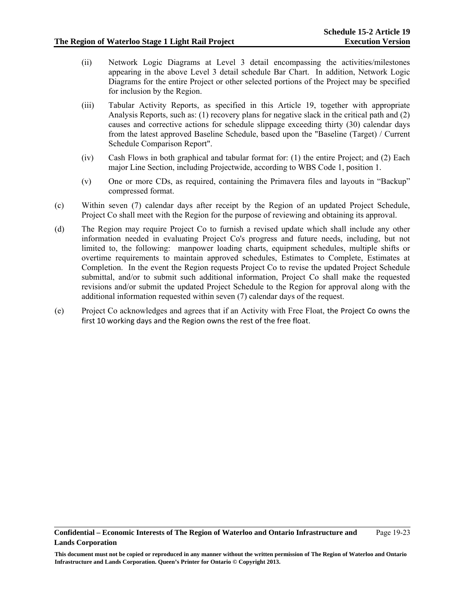- (ii) Network Logic Diagrams at Level 3 detail encompassing the activities/milestones appearing in the above Level 3 detail schedule Bar Chart. In addition, Network Logic Diagrams for the entire Project or other selected portions of the Project may be specified for inclusion by the Region.
- (iii) Tabular Activity Reports, as specified in this Article 19, together with appropriate Analysis Reports, such as: (1) recovery plans for negative slack in the critical path and (2) causes and corrective actions for schedule slippage exceeding thirty (30) calendar days from the latest approved Baseline Schedule, based upon the "Baseline (Target) / Current Schedule Comparison Report".
- (iv) Cash Flows in both graphical and tabular format for: (1) the entire Project; and (2) Each major Line Section, including Projectwide, according to WBS Code 1, position 1.
- (v) One or more CDs, as required, containing the Primavera files and layouts in "Backup" compressed format.
- (c) Within seven (7) calendar days after receipt by the Region of an updated Project Schedule, Project Co shall meet with the Region for the purpose of reviewing and obtaining its approval.
- (d) The Region may require Project Co to furnish a revised update which shall include any other information needed in evaluating Project Co's progress and future needs, including, but not limited to, the following: manpower loading charts, equipment schedules, multiple shifts or overtime requirements to maintain approved schedules, Estimates to Complete, Estimates at Completion. In the event the Region requests Project Co to revise the updated Project Schedule submittal, and/or to submit such additional information, Project Co shall make the requested revisions and/or submit the updated Project Schedule to the Region for approval along with the additional information requested within seven (7) calendar days of the request.
- (e) Project Co acknowledges and agrees that if an Activity with Free Float, the Project Co owns the first 10 working days and the Region owns the rest of the free float.

**This document must not be copied or reproduced in any manner without the written permission of The Region of Waterloo and Ontario Infrastructure and Lands Corporation. Queen's Printer for Ontario © Copyright 2013.**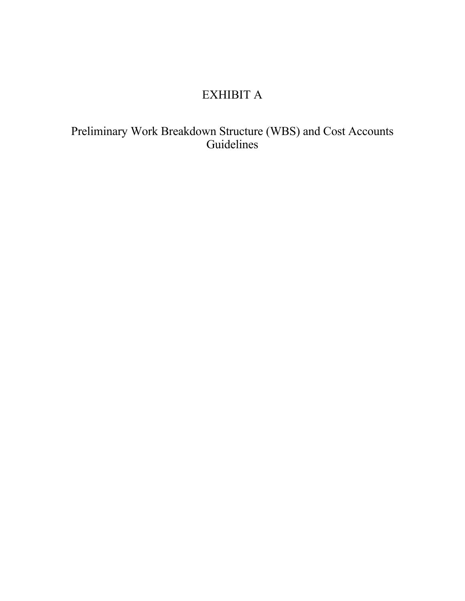# EXHIBIT A

Preliminary Work Breakdown Structure (WBS) and Cost Accounts Guidelines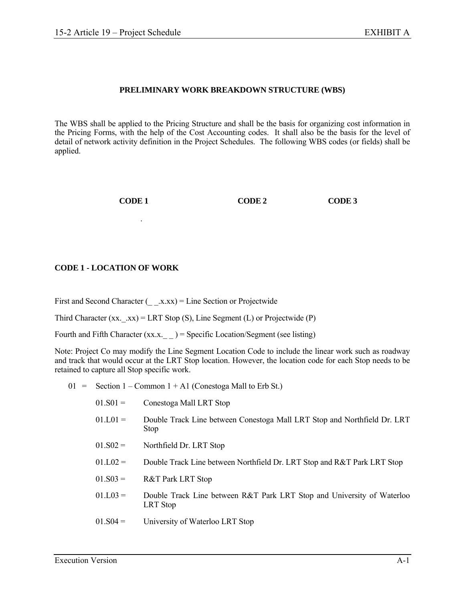# **PRELIMINARY WORK BREAKDOWN STRUCTURE (WBS)**

The WBS shall be applied to the Pricing Structure and shall be the basis for organizing cost information in the Pricing Forms, with the help of the Cost Accounting codes. It shall also be the basis for the level of detail of network activity definition in the Project Schedules. The following WBS codes (or fields) shall be applied.

**CODE 1 CODE 2 CODE 3** 

# **CODE 1 - LOCATION OF WORK**

First and Second Character  $(\quad x.xx) =$  Line Section or Projectwide

Third Character  $(xx, xx) = LRT Stop(S)$ , Line Segment (L) or Projectwide (P)

Fourth and Fifth Character  $(xx.x_{--})$  = Specific Location/Segment (see listing)

Note: Project Co may modify the Line Segment Location Code to include the linear work such as roadway and track that would occur at the LRT Stop location. However, the location code for each Stop needs to be retained to capture all Stop specific work.

 $01 =$  Section 1 – Common 1 + A1 (Conestoga Mall to Erb St.)

| $01.S01 =$ | Conestoga Mall LRT Stop                                                                 |
|------------|-----------------------------------------------------------------------------------------|
| $01.L01 =$ | Double Track Line between Conestoga Mall LRT Stop and Northfield Dr. LRT<br><b>Stop</b> |
| $01.S02 =$ | Northfield Dr. LRT Stop                                                                 |
| $01.L02 =$ | Double Track Line between Northfield Dr. LRT Stop and R&T Park LRT Stop                 |
| $01.S03 =$ | <b>R&amp;T Park LRT Stop</b>                                                            |
| $01.L03 =$ | Double Track Line between R&T Park LRT Stop and University of Waterloo<br>LRT Stop      |
| $01.S04 =$ | University of Waterloo LRT Stop                                                         |
|            |                                                                                         |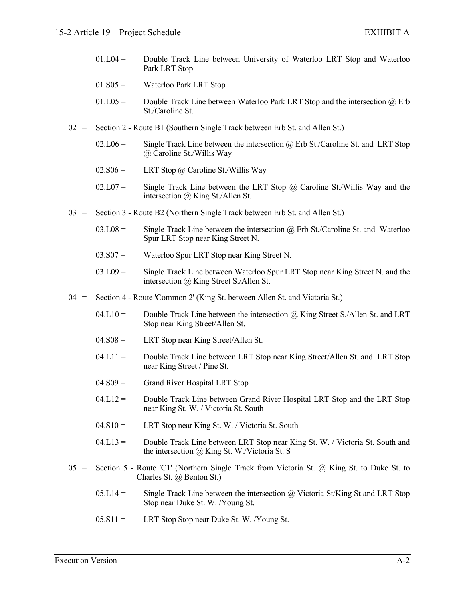- $01.L04 =$  Double Track Line between University of Waterloo LRT Stop and Waterloo Park LRT Stop
- 01.S05 = Waterloo Park LRT Stop
- 01.L05 = Double Track Line between Waterloo Park LRT Stop and the intersection  $\omega$  Erb St./Caroline St.
- $02 =$  Section 2 Route B1 (Southern Single Track between Erb St. and Allen St.)
	- $02.106 =$  Single Track Line between the intersection @ Erb St./Caroline St. and LRT Stop @ Caroline St./Willis Way
	- $02.806 =$  LRT Stop @ Caroline St./Willis Way
	- 02.L07 = Single Track Line between the LRT Stop  $\omega$  Caroline St./Willis Way and the intersection @ King St./Allen St.
- 03 = Section 3 Route B2 (Northern Single Track between Erb St. and Allen St.)
	- $03.L08 =$  Single Track Line between the intersection  $\omega$  Erb St./Caroline St. and Waterloo Spur LRT Stop near King Street N.
	- 03.S07 = Waterloo Spur LRT Stop near King Street N.
	- $03.L09 =$  Single Track Line between Waterloo Spur LRT Stop near King Street N. and the intersection @ King Street S./Allen St.
- 04 = Section 4 Route 'Common 2' (King St. between Allen St. and Victoria St.)
	- $04.L10 =$  Double Track Line between the intersection  $\omega$  King Street S./Allen St. and LRT Stop near King Street/Allen St.
	- 04.S08 = LRT Stop near King Street/Allen St.
	- $04.L11 =$  Double Track Line between LRT Stop near King Street/Allen St. and LRT Stop near King Street / Pine St.
	- 04.S09 = Grand River Hospital LRT Stop
	- $04.L12 =$  Double Track Line between Grand River Hospital LRT Stop and the LRT Stop near King St. W. / Victoria St. South
	- 04.S10 = LRT Stop near King St. W. / Victoria St. South
	- $04.L13 =$  Double Track Line between LRT Stop near King St. W. / Victoria St. South and the intersection @ King St. W./Victoria St. S
- $05 =$  Section 5 Route 'C1' (Northern Single Track from Victoria St.  $\omega$ ) King St. to Duke St. to Charles St. @ Benton St.)
	- 05.L14 = Single Track Line between the intersection  $\omega$  Victoria St/King St and LRT Stop Stop near Duke St. W. /Young St.
	- $05. S11 =$  LRT Stop Stop near Duke St. W. /Young St.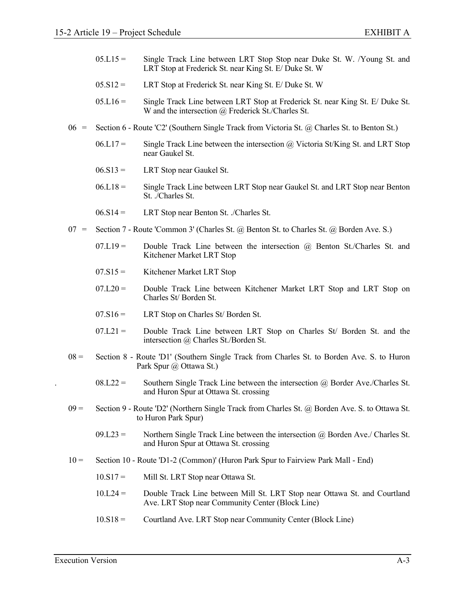- $0.05 \text{ L} \cdot 15 =$  Single Track Line between LRT Stop Stop near Duke St. W. *N* oung St. and LRT Stop at Frederick St. near King St. E/ Duke St. W
- $05. S12 =$  LRT Stop at Frederick St. near King St. E/ Duke St. W
- $0.05 \text{ L}16 =$  Single Track Line between LRT Stop at Frederick St. near King St. E/ Duke St. W and the intersection @ Frederick St./Charles St.
- 06 = Section 6 Route 'C2' (Southern Single Track from Victoria St. @ Charles St. to Benton St.)
	- $06.117 =$  Single Track Line between the intersection @ Victoria St/King St. and LRT Stop near Gaukel St.
	- $06. S13 =$  LRT Stop near Gaukel St.
	- $06. L18 =$  Single Track Line between LRT Stop near Gaukel St. and LRT Stop near Benton St. ./Charles St.
	- $06. S14 =$  LRT Stop near Benton St. ./Charles St.
- 07 = Section 7 Route 'Common 3' (Charles St. @ Benton St. to Charles St. @ Borden Ave. S.)
	- $07.L19 =$  Double Track Line between the intersection  $\omega$  Benton St./Charles St. and Kitchener Market LRT Stop
	- 07.S15 = Kitchener Market LRT Stop
	- $07.L20 =$  Double Track Line between Kitchener Market LRT Stop and LRT Stop on Charles St/ Borden St.
	- $07.S16 =$  LRT Stop on Charles St/ Borden St.
	- $07.L21 =$  Double Track Line between LRT Stop on Charles St Borden St. and the intersection @ Charles St./Borden St.
- 08 = Section 8 Route 'D1' (Southern Single Track from Charles St. to Borden Ave. S. to Huron Park Spur @ Ottawa St.)
	- $08.L22 =$  Southern Single Track Line between the intersection  $\omega$  Border Ave./Charles St. and Huron Spur at Ottawa St. crossing
- 09 = Section 9 Route 'D2' (Northern Single Track from Charles St. @ Borden Ave. S. to Ottawa St. to Huron Park Spur)
	- $09.L23 =$  Northern Single Track Line between the intersection  $\omega$  Borden Ave./ Charles St. and Huron Spur at Ottawa St. crossing
- 10 = Section 10 Route 'D1-2 (Common)' (Huron Park Spur to Fairview Park Mall End)
	- 10.S17 = Mill St. LRT Stop near Ottawa St.
	- 10.L24 = Double Track Line between Mill St. LRT Stop near Ottawa St. and Courtland Ave. LRT Stop near Community Center (Block Line)
	- 10.S18 = Courtland Ave. LRT Stop near Community Center (Block Line)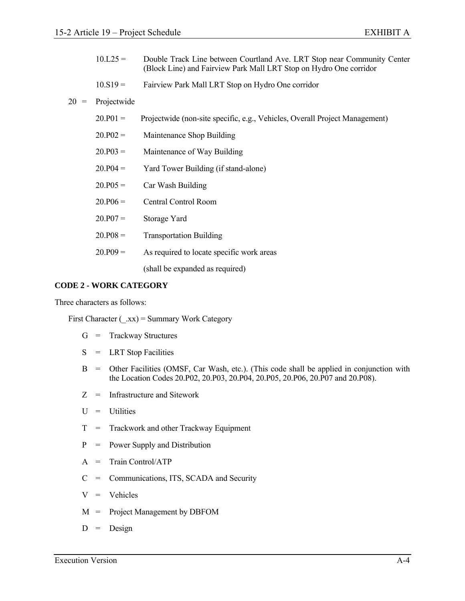- 10.L25 = Double Track Line between Courtland Ave. LRT Stop near Community Center (Block Line) and Fairview Park Mall LRT Stop on Hydro One corridor
- 10.S19 = Fairview Park Mall LRT Stop on Hydro One corridor

# 20 = Projectwide

| $20.P01 =$ | Projectwide (non-site specific, e.g., Vehicles, Overall Project Management) |
|------------|-----------------------------------------------------------------------------|
| $20.P02 =$ | Maintenance Shop Building                                                   |
| $20.P03 =$ | Maintenance of Way Building                                                 |
| $20.P04 =$ | Yard Tower Building (if stand-alone)                                        |
| $20.P05 =$ | Car Wash Building                                                           |
| $20.P06 =$ | <b>Central Control Room</b>                                                 |
| $20.P07 =$ | Storage Yard                                                                |
| $20.P08 =$ | <b>Transportation Building</b>                                              |
| $20.P09 =$ | As required to locate specific work areas                                   |
|            | (shall be expanded as required)                                             |

## **CODE 2 - WORK CATEGORY**

Three characters as follows:

First Character  $(\ _{xx})$  = Summary Work Category

- G = Trackway Structures
- $S = LRT$  Stop Facilities
- B = Other Facilities (OMSF, Car Wash, etc.). (This code shall be applied in conjunction with the Location Codes 20.P02, 20.P03, 20.P04, 20.P05, 20.P06, 20.P07 and 20.P08).
- Z = Infrastructure and Sitework
- $U =$  Utilities
- T = Trackwork and other Trackway Equipment
- P = Power Supply and Distribution
- A = Train Control/ATP
- C = Communications, ITS, SCADA and Security
- $V =$  Vehicles
- M = Project Management by DBFOM
- $D =$  Design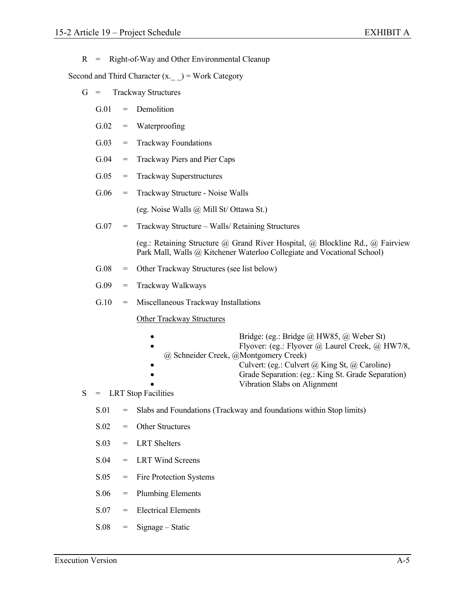$R$  = Right-of-Way and Other Environmental Cleanup

Second and Third Character  $(x, \) =$  Work Category

- G = Trackway Structures
	- G.01 = Demolition
	- $G.02$  = Waterproofing
	- G.03 = Trackway Foundations
	- G.04 = Trackway Piers and Pier Caps
	- G.05 = Trackway Superstructures
	- G.06 = Trackway Structure Noise Walls

(eg. Noise Walls @ Mill St/ Ottawa St.)

G.07 = Trackway Structure – Walls/ Retaining Structures

 (eg.: Retaining Structure @ Grand River Hospital, @ Blockline Rd., @ Fairview Park Mall, Walls @ Kitchener Waterloo Collegiate and Vocational School)

- G.08 = Other Trackway Structures (see list below)
- $G.09$  = Trackway Walkways
- G.10 = Miscellaneous Trackway Installations

Other Trackway Structures

- Bridge: (eg.: Bridge @ HW85, @ Weber St)
	- Flyover: (eg.: Flyover @ Laurel Creek, @ HW7/8,
- @ Schneider Creek, @Montgomery Creek)
- Culvert: (eg.: Culvert @ King St, @ Caroline)
- Grade Separation: (eg.: King St. Grade Separation)
- Vibration Slabs on Alignment
- $S = LRT$  Stop Facilities
	- S.01 = Slabs and Foundations (Trackway and foundations within Stop limits)
	- S.02 = Other Structures
	- $S.03 = LRT$  Shelters
	- S.04 = LRT Wind Screens
	- S.05 = Fire Protection Systems
	- S.06 = Plumbing Elements
	- S.07 = Electrical Elements
	- $S.08 = Signage Static$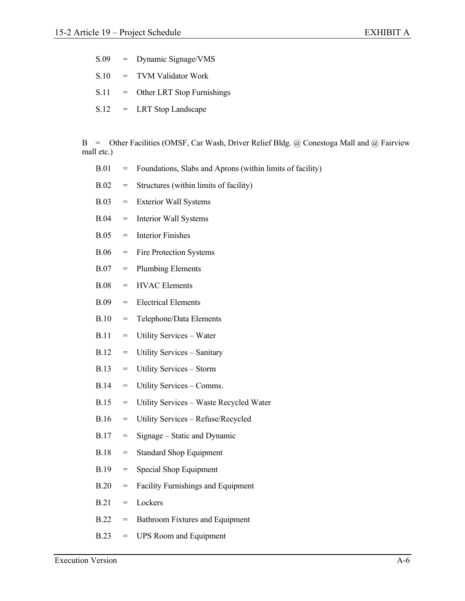- S.09 = Dynamic Signage/VMS
- S.10 = TVM Validator Work
- S.11 = Other LRT Stop Furnishings
- S.12 = LRT Stop Landscape

 B = Other Facilities (OMSF, Car Wash, Driver Relief Bldg. @ Conestoga Mall and @ Fairview mall etc.)

| <b>B.01</b> | $=$ | Foundations, Slabs and Aprons (within limits of facility) |
|-------------|-----|-----------------------------------------------------------|
| B.02        | $=$ | Structures (within limits of facility)                    |
| B.03        | $=$ | <b>Exterior Wall Systems</b>                              |
| <b>B.04</b> | $=$ | <b>Interior Wall Systems</b>                              |
| B.05        | $=$ | <b>Interior Finishes</b>                                  |
| B.06        | $=$ | Fire Protection Systems                                   |
| <b>B.07</b> | $=$ | <b>Plumbing Elements</b>                                  |
| <b>B.08</b> | $=$ | <b>HVAC</b> Elements                                      |
| <b>B.09</b> | $=$ | <b>Electrical Elements</b>                                |
| <b>B.10</b> | $=$ | Telephone/Data Elements                                   |
| <b>B.11</b> | $=$ | Utility Services - Water                                  |
| <b>B.12</b> | $=$ | Utility Services - Sanitary                               |
| <b>B.13</b> | $=$ | Utility Services - Storm                                  |
| <b>B.14</b> | $=$ | Utility Services – Comms.                                 |
| <b>B.15</b> | $=$ | Utility Services - Waste Recycled Water                   |
| <b>B.16</b> | $=$ | Utility Services - Refuse/Recycled                        |
| <b>B.17</b> | $=$ | Signage – Static and Dynamic                              |
| <b>B.18</b> | $=$ | <b>Standard Shop Equipment</b>                            |
| <b>B.19</b> | $=$ | Special Shop Equipment                                    |
| B.20        | $=$ | <b>Facility Furnishings and Equipment</b>                 |
| B.21        | $=$ | Lockers                                                   |
| B.22        | $=$ | Bathroom Fixtures and Equipment                           |
| <b>B.23</b> | $=$ | <b>UPS Room and Equipment</b>                             |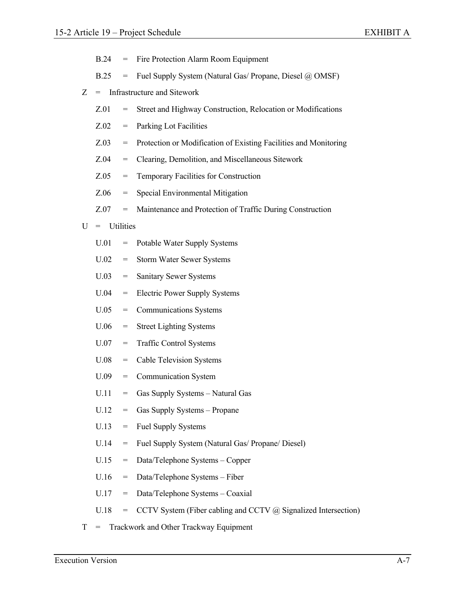|   | <b>B.24</b>                   | $=$ | Fire Protection Alarm Room Equipment                             |
|---|-------------------------------|-----|------------------------------------------------------------------|
|   | <b>B.25</b>                   | $=$ | Fuel Supply System (Natural Gas/ Propane, Diesel @ OMSF)         |
| Z | = Infrastructure and Sitework |     |                                                                  |
|   | Z.01                          | $=$ | Street and Highway Construction, Relocation or Modifications     |
|   | Z.02                          | $=$ | Parking Lot Facilities                                           |
|   | Z.03                          | $=$ | Protection or Modification of Existing Facilities and Monitoring |
|   | Z.04                          | $=$ | Clearing, Demolition, and Miscellaneous Sitework                 |
|   | Z.05                          | $=$ | Temporary Facilities for Construction                            |
|   | Z.06                          | $=$ | Special Environmental Mitigation                                 |
|   | Z.07                          | $=$ | Maintenance and Protection of Traffic During Construction        |
| U | $=$ Utilities                 |     |                                                                  |
|   | U.01                          | $=$ | Potable Water Supply Systems                                     |
|   | U.02                          | $=$ | <b>Storm Water Sewer Systems</b>                                 |
|   | U.03                          | $=$ | Sanitary Sewer Systems                                           |
|   | U.04                          | $=$ | <b>Electric Power Supply Systems</b>                             |
|   | U.05                          | $=$ | <b>Communications Systems</b>                                    |
|   | U.06                          | $=$ | <b>Street Lighting Systems</b>                                   |
|   | U.07                          | $=$ | <b>Traffic Control Systems</b>                                   |
|   | U.08                          | $=$ | <b>Cable Television Systems</b>                                  |
|   | U.09                          | $=$ | <b>Communication System</b>                                      |
|   | U.11                          |     | Gas Supply Systems - Natural Gas                                 |
|   | U.12                          | $=$ | Gas Supply Systems - Propane                                     |
|   | U.13                          | $=$ | <b>Fuel Supply Systems</b>                                       |
|   | U.14                          | $=$ | Fuel Supply System (Natural Gas/ Propane/ Diesel)                |
|   | U.15                          | $=$ | Data/Telephone Systems - Copper                                  |
|   | U.16                          | $=$ | Data/Telephone Systems - Fiber                                   |
|   | U.17                          | $=$ | Data/Telephone Systems - Coaxial                                 |
|   | U.18                          |     | CCTV System (Fiber cabling and CCTV @ Signalized Intersection)   |

T = Trackwork and Other Trackway Equipment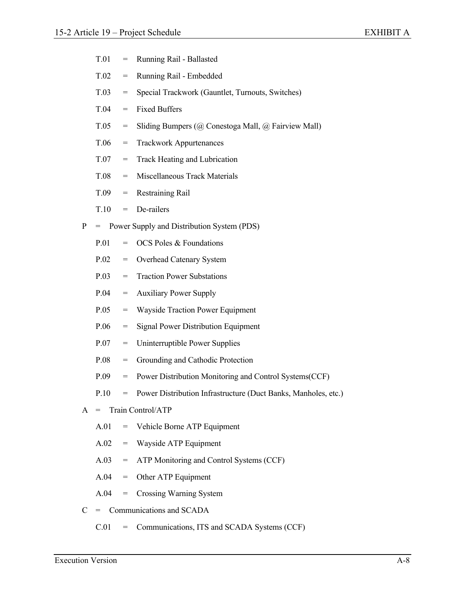| T.01 |  | Running Rail - Ballasted |
|------|--|--------------------------|
|------|--|--------------------------|

- T.02 = Running Rail Embedded
- T.03 = Special Trackwork (Gauntlet, Turnouts, Switches)
- T.04 = Fixed Buffers
- T.05 = Sliding Bumpers (@ Conestoga Mall, @ Fairview Mall)
- T.06 = Trackwork Appurtenances
- T.07 = Track Heating and Lubrication
- T.08 = Miscellaneous Track Materials
- T.09 = Restraining Rail
- T.10 = De-railers
- P = Power Supply and Distribution System (PDS)
	- $P.01 = OCS$  Poles & Foundations
	- P.02 = Overhead Catenary System
	- P.03 = Traction Power Substations
	- P.04 = Auxiliary Power Supply
	- P.05 = Wayside Traction Power Equipment
	- P.06 = Signal Power Distribution Equipment
	- P.07 = Uninterruptible Power Supplies
	- P.08 = Grounding and Cathodic Protection
	- P.09 = Power Distribution Monitoring and Control Systems(CCF)
	- P.10 = Power Distribution Infrastructure (Duct Banks, Manholes, etc.)
- A = Train Control/ATP
	- A.01 = Vehicle Borne ATP Equipment
	- A.02 = Wayside ATP Equipment
	- A.03 = ATP Monitoring and Control Systems (CCF)
	- A.04 = Other ATP Equipment
	- A.04 = Crossing Warning System
- C = Communications and SCADA
	- C.01 = Communications, ITS and SCADA Systems (CCF)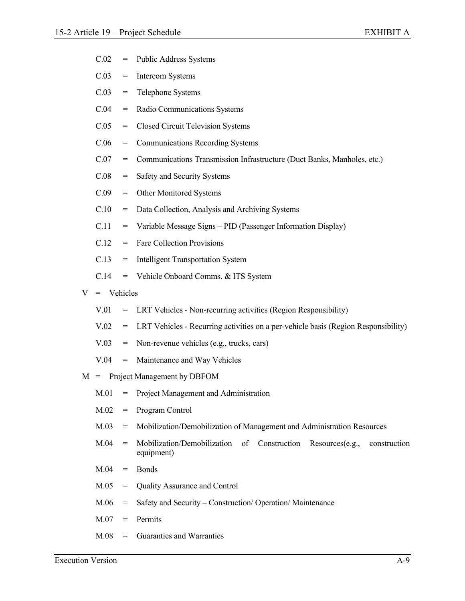- C.02 = Public Address Systems
- C.03 = Intercom Systems
- C.03 = Telephone Systems
- C.04 = Radio Communications Systems
- C.05 = Closed Circuit Television Systems
- C.06 = Communications Recording Systems
- C.07 = Communications Transmission Infrastructure (Duct Banks, Manholes, etc.)
- C.08 = Safety and Security Systems
- C.09 = Other Monitored Systems
- C.10 = Data Collection, Analysis and Archiving Systems
- C.11 = Variable Message Signs PID (Passenger Information Display)
- C.12 = Fare Collection Provisions
- C.13 = Intelligent Transportation System
- C.14 = Vehicle Onboard Comms. & ITS System

# $V =$  Vehicles

- V.01 = LRT Vehicles Non-recurring activities (Region Responsibility)
- V.02 = LRT Vehicles Recurring activities on a per-vehicle basis (Region Responsibility)
- V.03 = Non-revenue vehicles (e.g., trucks, cars)
- V.04 = Maintenance and Way Vehicles
- M = Project Management by DBFOM
	- M.01 = Project Management and Administration
	- M.02 = Program Control
	- M.03 = Mobilization/Demobilization of Management and Administration Resources
	- M.04 = Mobilization/Demobilization of Construction Resources(e.g., construction equipment)
	- $M.04 =$ Bonds
	- M.05 = Quality Assurance and Control
	- M.06 = Safety and Security Construction/ Operation/ Maintenance
	- $M 07 =$  Permits
	- M.08 = Guaranties and Warranties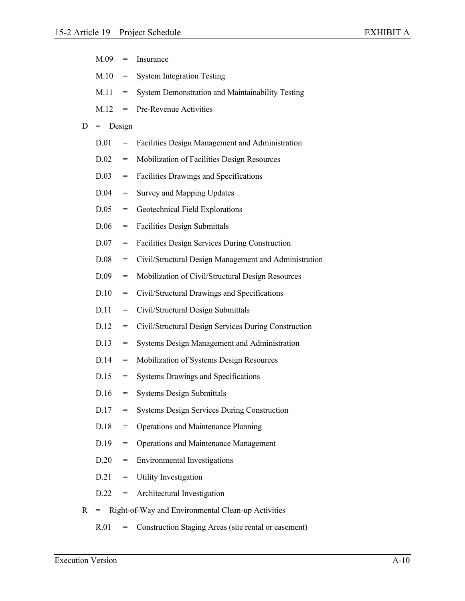|              | M.09 | $=$                               | Insurance                                             |
|--------------|------|-----------------------------------|-------------------------------------------------------|
|              | M.10 | $\hspace{1.6cm} = \hspace{1.6cm}$ | <b>System Integration Testing</b>                     |
|              | M.11 | $=$                               | System Demonstration and Maintainability Testing      |
|              | M.12 | $=$                               | Pre-Revenue Activities                                |
| D            | $=$  | Design                            |                                                       |
|              | D.01 | $=$                               | Facilities Design Management and Administration       |
|              | D.02 | $=$                               | Mobilization of Facilities Design Resources           |
|              | D.03 | $=$                               | Facilities Drawings and Specifications                |
|              | D.04 | $=$                               | <b>Survey and Mapping Updates</b>                     |
|              | D.05 | $=$                               | Geotechnical Field Explorations                       |
|              | D.06 | $=$                               | <b>Facilities Design Submittals</b>                   |
|              | D.07 | $=$                               | Facilities Design Services During Construction        |
|              | D.08 | $=$                               | Civil/Structural Design Management and Administration |
|              | D.09 | $=$                               | Mobilization of Civil/Structural Design Resources     |
|              | D.10 | $=$                               | Civil/Structural Drawings and Specifications          |
|              | D.11 | $=$                               | Civil/Structural Design Submittals                    |
|              | D.12 | $=$                               | Civil/Structural Design Services During Construction  |
|              | D.13 | $=$                               | Systems Design Management and Administration          |
|              | D.14 | $=$                               | Mobilization of Systems Design Resources              |
|              | D.15 | $=$                               | <b>Systems Drawings and Specifications</b>            |
|              |      | $D.16 =$                          | <b>Systems Design Submittals</b>                      |
|              | D.17 | $=$                               | <b>Systems Design Services During Construction</b>    |
|              | D.18 | $=$                               | Operations and Maintenance Planning                   |
|              | D.19 | $=$                               | <b>Operations and Maintenance Management</b>          |
|              | D.20 | $\hspace{1.6cm} = \hspace{1.6cm}$ | <b>Environmental Investigations</b>                   |
|              | D.21 | $=$                               | Utility Investigation                                 |
|              | D.22 | $=$                               | Architectural Investigation                           |
| $\mathbf{R}$ | $=$  |                                   | Right-of-Way and Environmental Clean-up Activities    |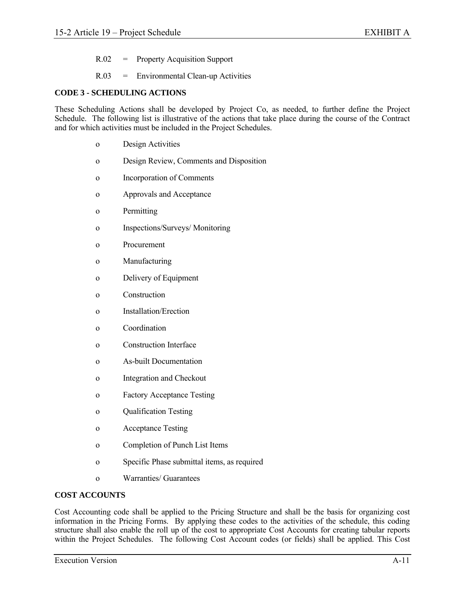- R.02 = Property Acquisition Support
- R.03 = Environmental Clean-up Activities

### **CODE 3 - SCHEDULING ACTIONS**

These Scheduling Actions shall be developed by Project Co, as needed, to further define the Project Schedule. The following list is illustrative of the actions that take place during the course of the Contract and for which activities must be included in the Project Schedules.

- o Design Activities
- o Design Review, Comments and Disposition
- o Incorporation of Comments
- o Approvals and Acceptance
- o Permitting
- o Inspections/Surveys/ Monitoring
- o Procurement
- o Manufacturing
- o Delivery of Equipment
- o Construction
- o Installation/Erection
- o Coordination
- o Construction Interface
- o As-built Documentation
- o Integration and Checkout
- o Factory Acceptance Testing
- o Qualification Testing
- o Acceptance Testing
- o Completion of Punch List Items
- o Specific Phase submittal items, as required
- o Warranties/ Guarantees

### **COST ACCOUNTS**

Cost Accounting code shall be applied to the Pricing Structure and shall be the basis for organizing cost information in the Pricing Forms. By applying these codes to the activities of the schedule, this coding structure shall also enable the roll up of the cost to appropriate Cost Accounts for creating tabular reports within the Project Schedules. The following Cost Account codes (or fields) shall be applied. This Cost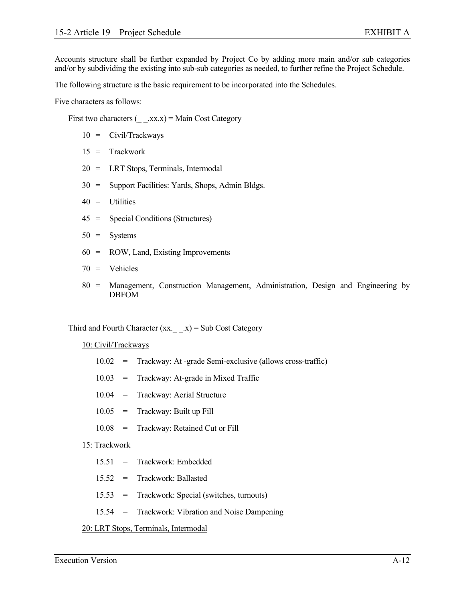Accounts structure shall be further expanded by Project Co by adding more main and/or sub categories and/or by subdividing the existing into sub-sub categories as needed, to further refine the Project Schedule.

The following structure is the basic requirement to be incorporated into the Schedules.

Five characters as follows:

First two characters  $(\quad .xx.x) = \text{Main Cost}$  Category

- 10 = Civil/Trackways
- 15 = Trackwork
- 20 = LRT Stops, Terminals, Intermodal
- 30 = Support Facilities: Yards, Shops, Admin Bldgs.
- 40 = Utilities
- 45 = Special Conditions (Structures)
- 50 = Systems
- 60 = ROW, Land, Existing Improvements

$$
70 = \text{Vehicles}
$$

 80 = Management, Construction Management, Administration, Design and Engineering by DBFOM

Third and Fourth Character  $(xx, \quad x) = Sub Cost Categorical$ 

### 10: Civil/Trackways

- 10.02 = Trackway: At -grade Semi-exclusive (allows cross-traffic)
- 10.03 = Trackway: At-grade in Mixed Traffic
- 10.04 = Trackway: Aerial Structure
- 10.05 = Trackway: Built up Fill
- 10.08 = Trackway: Retained Cut or Fill

### 15: Trackwork

- 15.51 = Trackwork: Embedded
- 15.52 = Trackwork: Ballasted
- 15.53 = Trackwork: Special (switches, turnouts)
- 15.54 = Trackwork: Vibration and Noise Dampening

### 20: LRT Stops, Terminals, Intermodal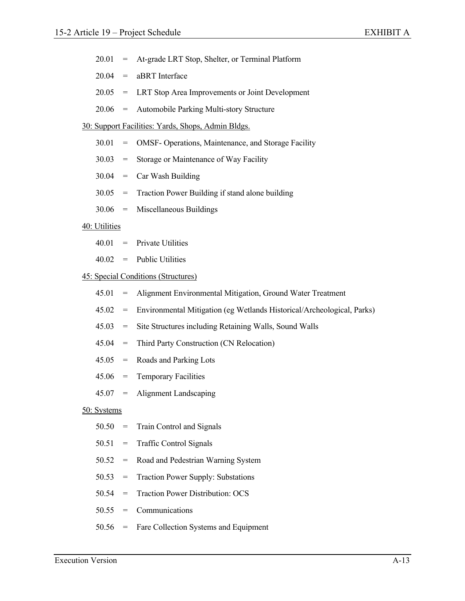|  |  | 20.01 = At-grade LRT Stop, Shelter, or Terminal Platform |  |
|--|--|----------------------------------------------------------|--|
|--|--|----------------------------------------------------------|--|

| 20.04 | aBRT Interface |
|-------|----------------|
|-------|----------------|

- 20.05 = LRT Stop Area Improvements or Joint Development
- 20.06 = Automobile Parking Multi-story Structure

### 30: Support Facilities: Yards, Shops, Admin Bldgs.

- 30.01 = OMSF- Operations, Maintenance, and Storage Facility
- 30.03 = Storage or Maintenance of Way Facility
- $30.04$  = Car Wash Building
- 30.05 = Traction Power Building if stand alone building
- 30.06 = Miscellaneous Buildings

### 40: Utilities

- $40.01$  = Private Utilities
- 40.02 = Public Utilities

### 45: Special Conditions (Structures)

- 45.01 = Alignment Environmental Mitigation, Ground Water Treatment
- 45.02 = Environmental Mitigation (eg Wetlands Historical/Archeological, Parks)
- 45.03 = Site Structures including Retaining Walls, Sound Walls
- 45.04 = Third Party Construction (CN Relocation)
- $45.05$  = Roads and Parking Lots
- 45.06 = Temporary Facilities
- 45.07 = Alignment Landscaping

### 50: Systems

- 50.50 = Train Control and Signals
- 50.51 = Traffic Control Signals
- 50.52 = Road and Pedestrian Warning System
- 50.53 = Traction Power Supply: Substations
- 50.54 = Traction Power Distribution: OCS
- 50.55 = Communications
- 50.56 = Fare Collection Systems and Equipment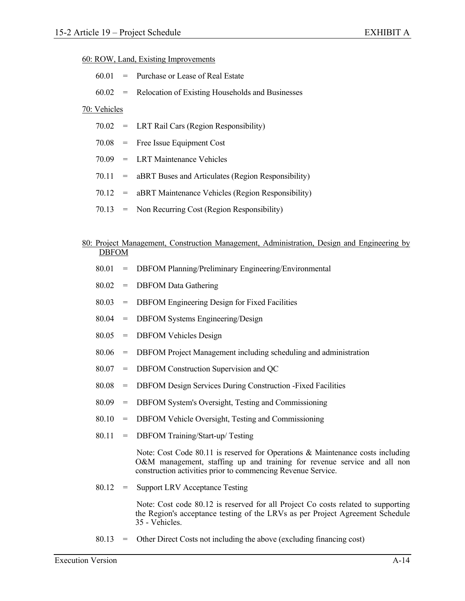### 60: ROW, Land, Existing Improvements

|  | $60.01$ = Purchase or Lease of Real Estate                 |
|--|------------------------------------------------------------|
|  | $60.02$ = Relocation of Existing Households and Businesses |
|  |                                                            |

# 70: Vehicles

|  | 70.02 = LRT Rail Cars (Region Responsibility) |
|--|-----------------------------------------------|
|--|-----------------------------------------------|

- 70.08 = Free Issue Equipment Cost
- 70.09 = LRT Maintenance Vehicles
- $70.11$  = aBRT Buses and Articulates (Region Responsibility)
- 70.12 = aBRT Maintenance Vehicles (Region Responsibility)
- 70.13 = Non Recurring Cost (Region Responsibility)

### 80: Project Management, Construction Management, Administration, Design and Engineering by DBFOM

- 80.01 = DBFOM Planning/Preliminary Engineering/Environmental
- 80.02 = DBFOM Data Gathering
- 80.03 = DBFOM Engineering Design for Fixed Facilities
- 80.04 = DBFOM Systems Engineering/Design
- 80.05 = DBFOM Vehicles Design
- 80.06 = DBFOM Project Management including scheduling and administration
- 80.07 = DBFOM Construction Supervision and QC
- 80.08 = DBFOM Design Services During Construction -Fixed Facilities
- 80.09 = DBFOM System's Oversight, Testing and Commissioning
- 80.10 = DBFOM Vehicle Oversight, Testing and Commissioning
- 80.11 = DBFOM Training/Start-up/ Testing

 Note: Cost Code 80.11 is reserved for Operations & Maintenance costs including O&M management, staffing up and training for revenue service and all non construction activities prior to commencing Revenue Service.

80.12 = Support LRV Acceptance Testing

 Note: Cost code 80.12 is reserved for all Project Co costs related to supporting the Region's acceptance testing of the LRVs as per Project Agreement Schedule 35 - Vehicles.

80.13 = Other Direct Costs not including the above (excluding financing cost)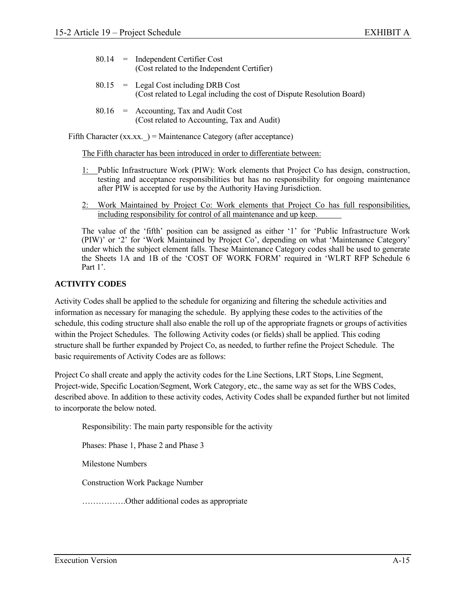- 80.14 = Independent Certifier Cost (Cost related to the Independent Certifier)
- $80.15$  = Legal Cost including DRB Cost (Cost related to Legal including the cost of Dispute Resolution Board)
- $80.16$  = Accounting, Tax and Audit Cost (Cost related to Accounting, Tax and Audit)

Fifth Character  $(xx.xx. ) = Maintenance$  Category (after acceptance)

The Fifth character has been introduced in order to differentiate between:

- 1: Public Infrastructure Work (PIW): Work elements that Project Co has design, construction, testing and acceptance responsibilities but has no responsibility for ongoing maintenance after PIW is accepted for use by the Authority Having Jurisdiction.
- 2: Work Maintained by Project Co: Work elements that Project Co has full responsibilities, including responsibility for control of all maintenance and up keep.

The value of the 'fifth' position can be assigned as either '1' for 'Public Infrastructure Work (PIW)' or '2' for 'Work Maintained by Project Co', depending on what 'Maintenance Category' under which the subject element falls. These Maintenance Category codes shall be used to generate the Sheets 1A and 1B of the 'COST OF WORK FORM' required in 'WLRT RFP Schedule 6 Part 1'.

# **ACTIVITY CODES**

Activity Codes shall be applied to the schedule for organizing and filtering the schedule activities and information as necessary for managing the schedule. By applying these codes to the activities of the schedule, this coding structure shall also enable the roll up of the appropriate fragnets or groups of activities within the Project Schedules. The following Activity codes (or fields) shall be applied. This coding structure shall be further expanded by Project Co, as needed, to further refine the Project Schedule. The basic requirements of Activity Codes are as follows:

Project Co shall create and apply the activity codes for the Line Sections, LRT Stops, Line Segment, Project-wide, Specific Location/Segment, Work Category, etc., the same way as set for the WBS Codes, described above. In addition to these activity codes, Activity Codes shall be expanded further but not limited to incorporate the below noted.

Responsibility: The main party responsible for the activity

Phases: Phase 1, Phase 2 and Phase 3

Milestone Numbers

Construction Work Package Number

…………….Other additional codes as appropriate